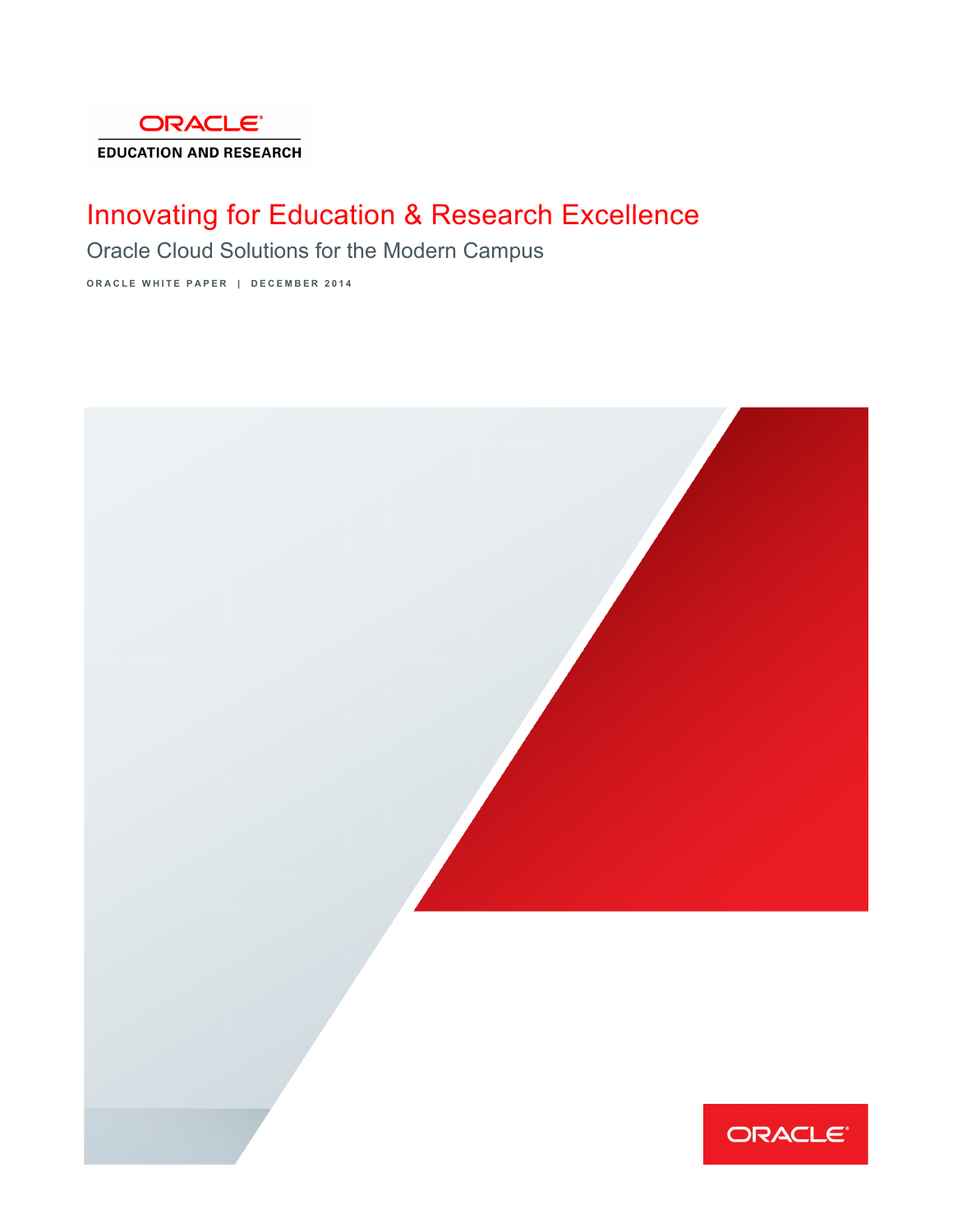

# Innovating for Education & Research Excellence

Oracle Cloud Solutions for the Modern Campus

**ORACLE WHITE PAPER | DECEMBER 2014** 

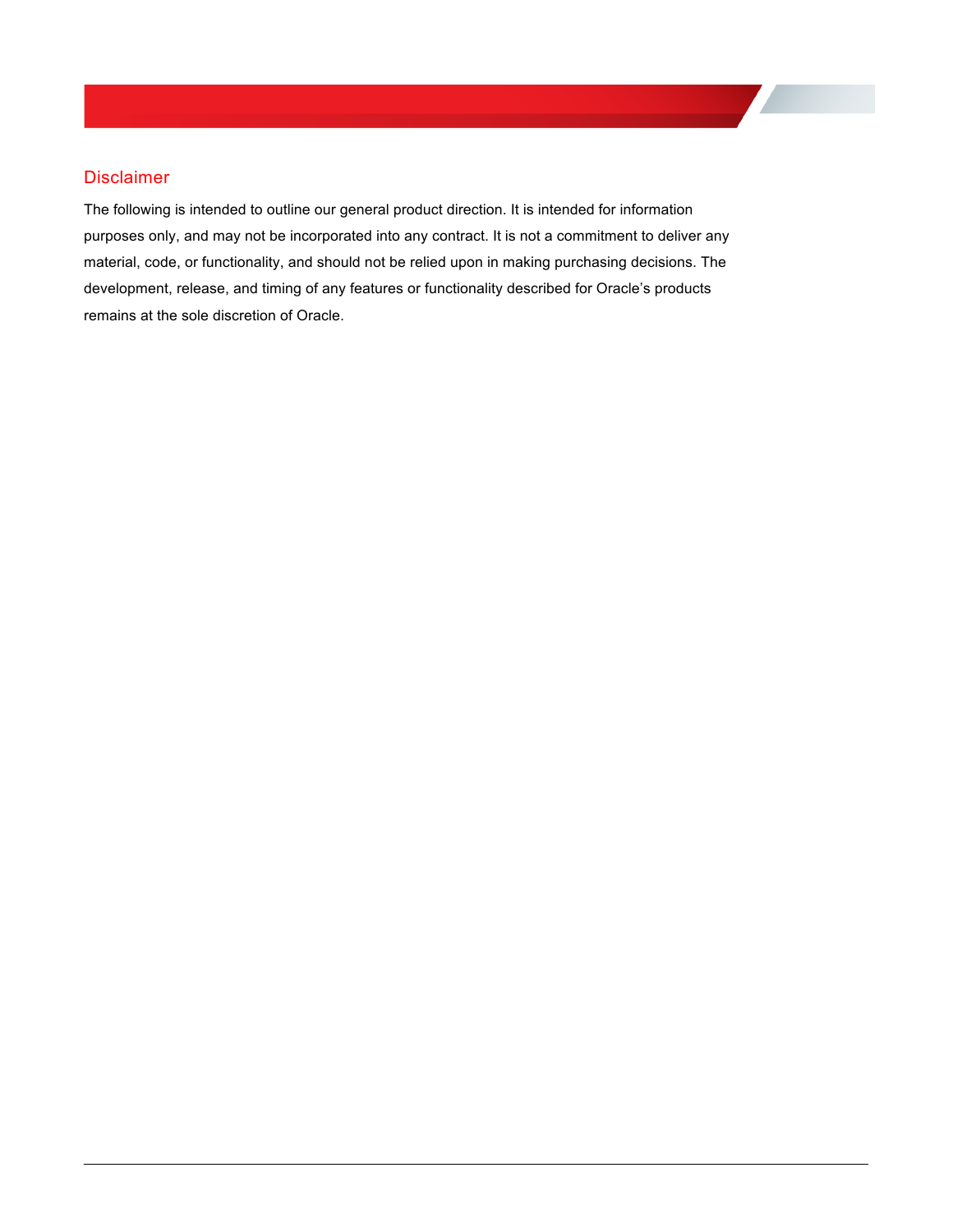# **Disclaimer**

 The following is intended to outline our general product direction. It is intended for information purposes only, and may not be incorporated into any contract. It is not a commitment to deliver any material, code, or functionality, and should not be relied upon in making purchasing decisions. The development, release, and timing of any features or functionality described for Oracle's products remains at the sole discretion of Oracle.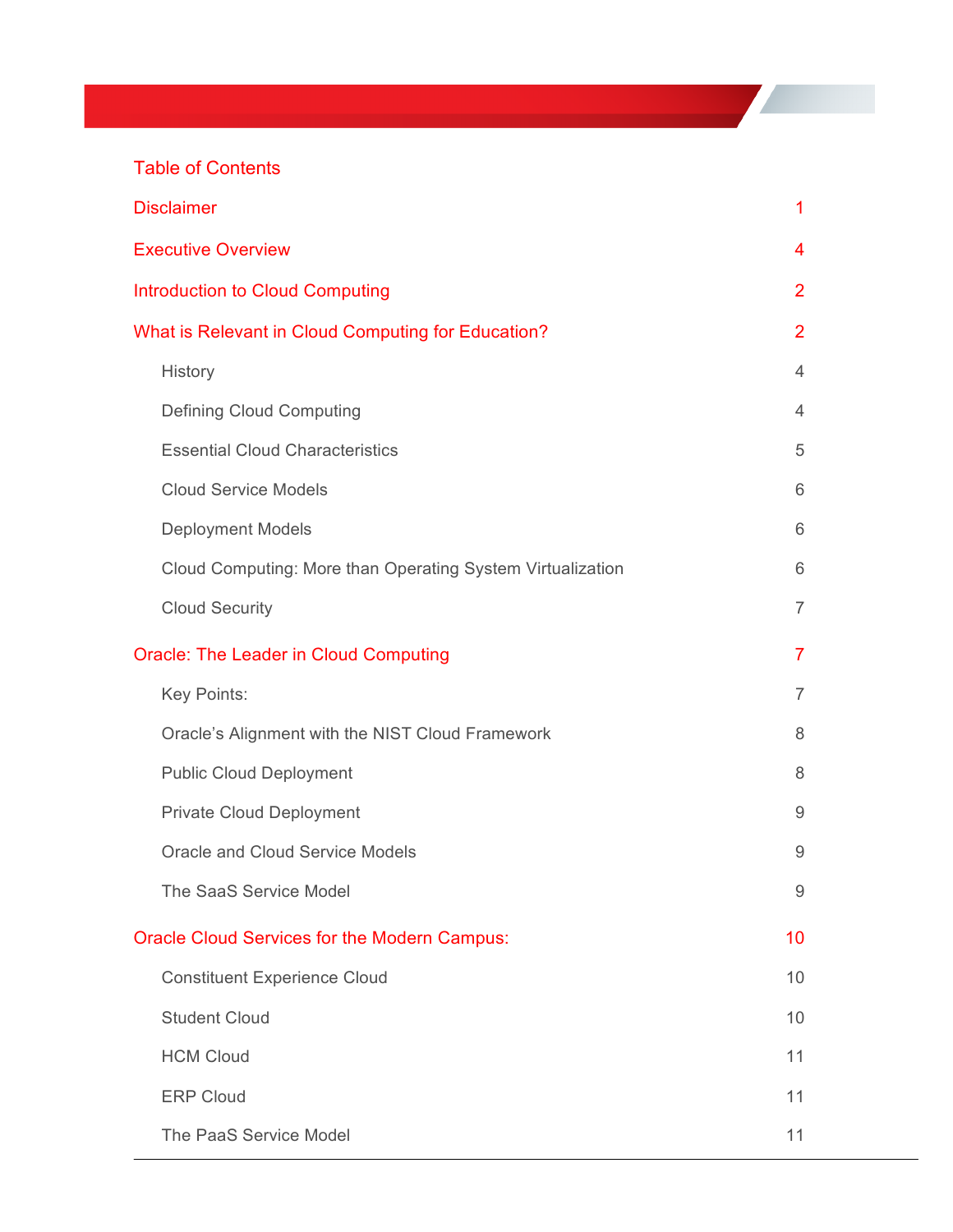# **Table of Contents**

| <b>Table of Contents</b>                                   |                |
|------------------------------------------------------------|----------------|
| <b>Disclaimer</b>                                          | 1              |
| <b>Executive Overview</b>                                  | 4              |
| <b>Introduction to Cloud Computing</b>                     | 2              |
| What is Relevant in Cloud Computing for Education?         | $\overline{2}$ |
| History                                                    | 4              |
| <b>Defining Cloud Computing</b>                            | 4              |
| <b>Essential Cloud Characteristics</b>                     | 5              |
| <b>Cloud Service Models</b>                                | 6              |
| <b>Deployment Models</b>                                   | 6              |
| Cloud Computing: More than Operating System Virtualization | 6              |
| <b>Cloud Security</b>                                      | $\overline{7}$ |
| <b>Oracle: The Leader in Cloud Computing</b>               | $\overline{7}$ |
| Key Points:                                                | 7              |
| Oracle's Alignment with the NIST Cloud Framework           | 8              |
| <b>Public Cloud Deployment</b>                             | 8              |
| <b>Private Cloud Deployment</b>                            | 9              |
| Oracle and Cloud Service Models                            | 9              |
| The SaaS Service Model                                     | 9              |
| <b>Oracle Cloud Services for the Modern Campus:</b>        | 10             |
| <b>Constituent Experience Cloud</b>                        | 10             |
| <b>Student Cloud</b>                                       | 10             |
| <b>HCM Cloud</b>                                           | 11             |
| <b>ERP Cloud</b>                                           | 11             |
| The PaaS Service Model                                     | 11             |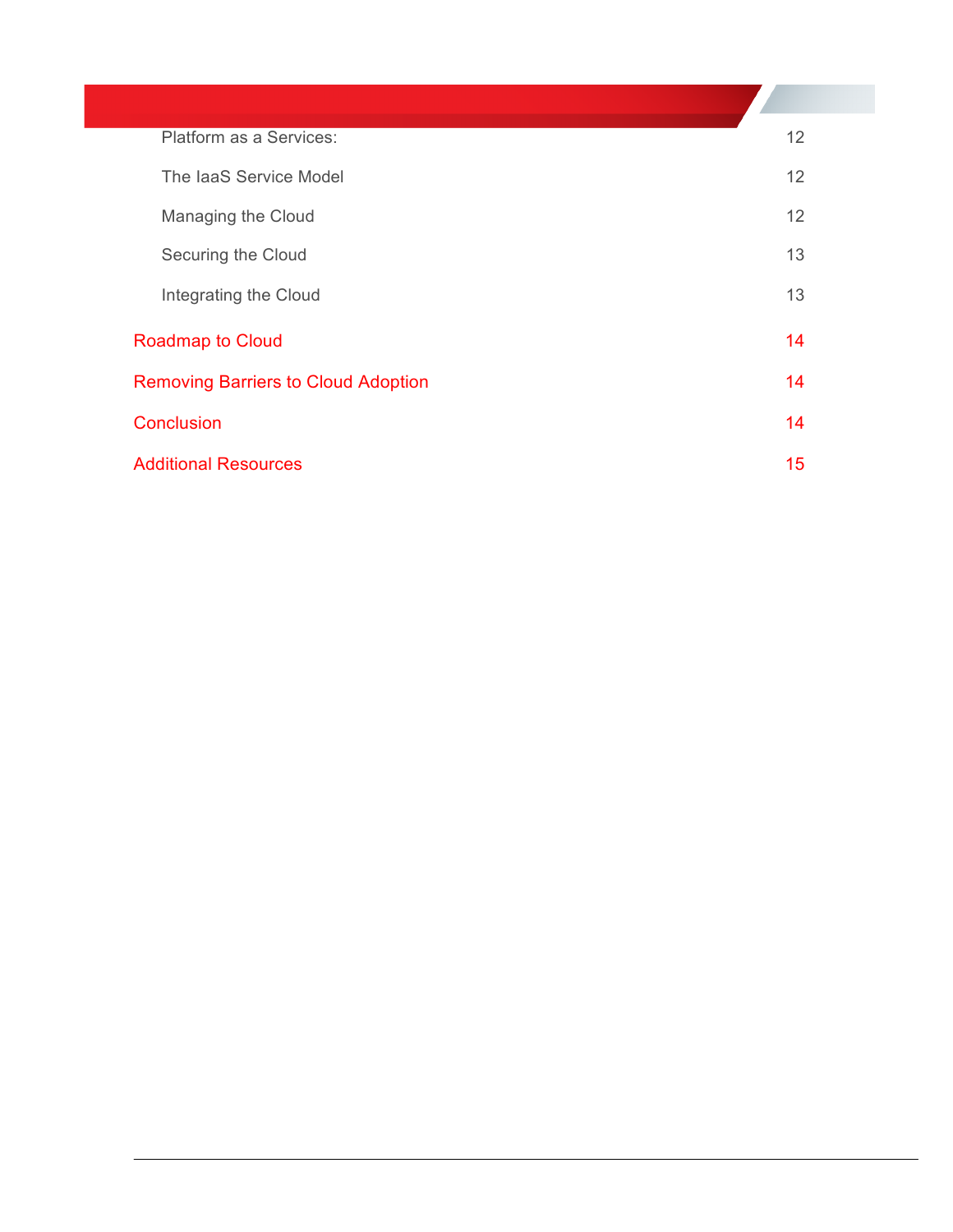| Platform as a Services:                    | 12 |
|--------------------------------------------|----|
| The laaS Service Model                     | 12 |
| Managing the Cloud                         | 12 |
| Securing the Cloud                         | 13 |
| Integrating the Cloud                      | 13 |
| <b>Roadmap to Cloud</b>                    | 14 |
| <b>Removing Barriers to Cloud Adoption</b> | 14 |
| Conclusion                                 | 14 |
| <b>Additional Resources</b>                | 15 |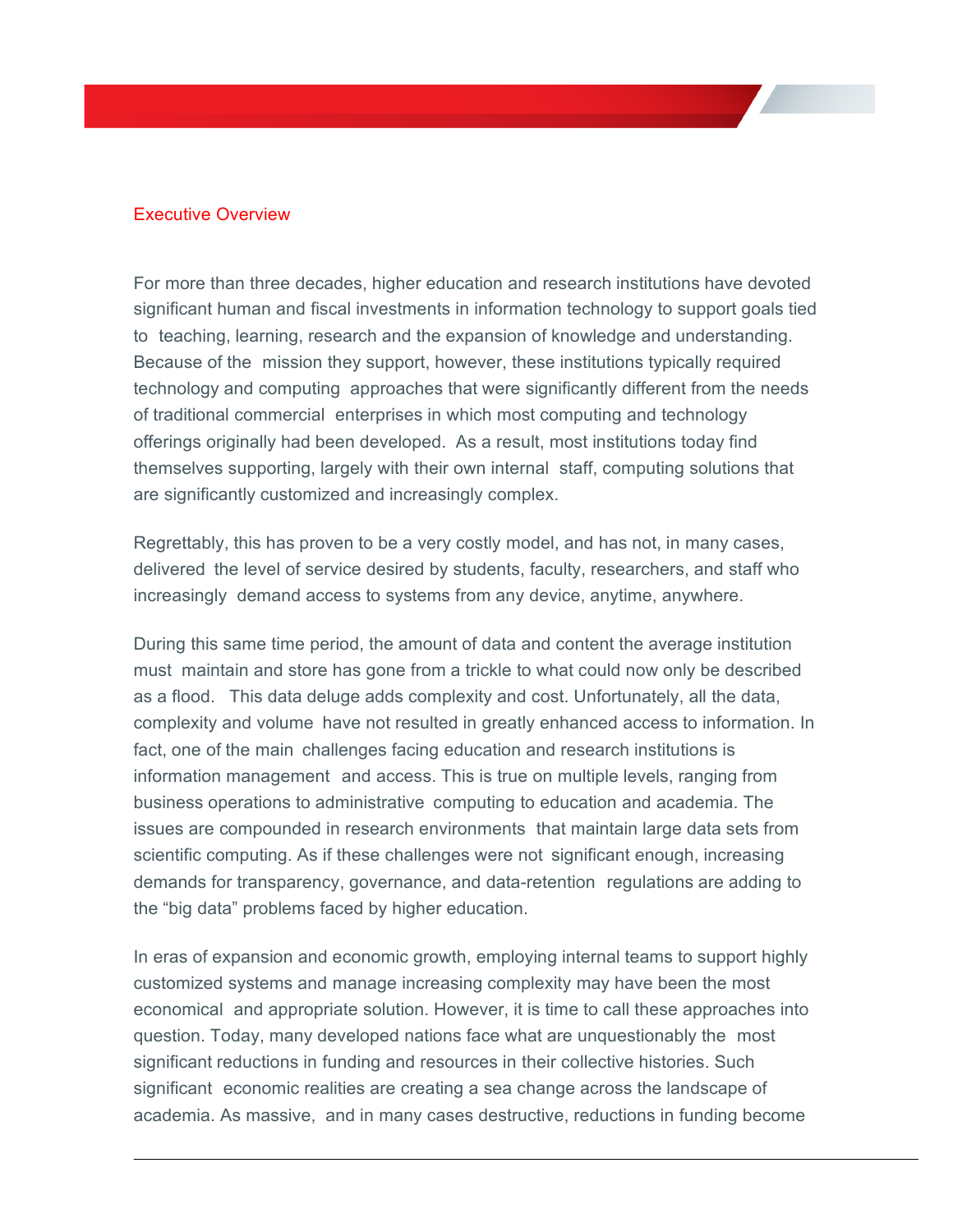# Executive Overview

 For more than three decades, higher education and research institutions have devoted significant human and fiscal investments in information technology to support goals tied to teaching, learning, research and the expansion of knowledge and understanding. Because of the mission they support, however, these institutions typically required technology and computing approaches that were significantly different from the needs of traditional commercial enterprises in which most computing and technology offerings originally had been developed. As a result, most institutions today find themselves supporting, largely with their own internal staff, computing solutions that are significantly customized and increasingly complex.

 Regrettably, this has proven to be a very costly model, and has not, in many cases, delivered the level of service desired by students, faculty, researchers, and staff who increasingly demand access to systems from any device, anytime, anywhere.

 During this same time period, the amount of data and content the average institution must maintain and store has gone from a trickle to what could now only be described as a flood. This data deluge adds complexity and cost. Unfortunately, all the data, complexity and volume have not resulted in greatly enhanced access to information. In fact, one of the main challenges facing education and research institutions is information management and access. This is true on multiple levels, ranging from business operations to administrative computing to education and academia. The issues are compounded in research environments that maintain large data sets from scientific computing. As if these challenges were not significant enough, increasing demands for transparency, governance, and data-retention regulations are adding to the "big data" problems faced by higher education.

 In eras of expansion and economic growth, employing internal teams to support highly customized systems and manage increasing complexity may have been the most economical and appropriate solution. However, it is time to call these approaches into question. Today, many developed nations face what are unquestionably the most significant reductions in funding and resources in their collective histories. Such significant economic realities are creating a sea change across the landscape of academia. As massive, and in many cases destructive, reductions in funding become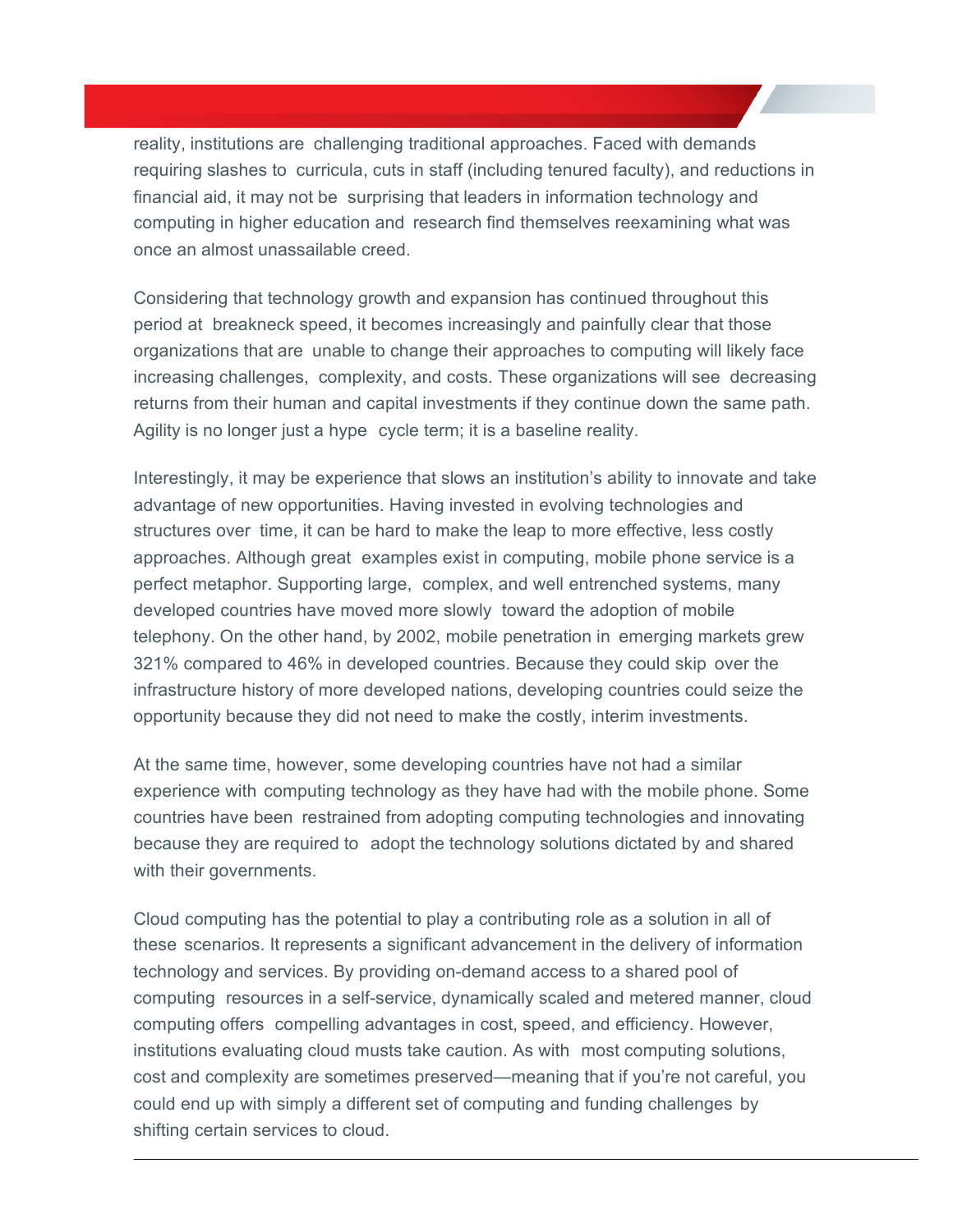reality, institutions are challenging traditional approaches. Faced with demands requiring slashes to curricula, cuts in staff (including tenured faculty), and reductions in financial aid, it may not be surprising that leaders in information technology and computing in higher education and research find themselves reexamining what was once an almost unassailable creed.

 Considering that technology growth and expansion has continued throughout this period at breakneck speed, it becomes increasingly and painfully clear that those organizations that are unable to change their approaches to computing will likely face increasing challenges, complexity, and costs. These organizations will see decreasing returns from their human and capital investments if they continue down the same path. Agility is no longer just a hype cycle term; it is a baseline reality.

 Interestingly, it may be experience that slows an institution's ability to innovate and take advantage of new opportunities. Having invested in evolving technologies and structures over time, it can be hard to make the leap to more effective, less costly approaches. Although great examples exist in computing, mobile phone service is a perfect metaphor. Supporting large, complex, and well entrenched systems, many developed countries have moved more slowly toward the adoption of mobile telephony. On the other hand, by 2002, mobile penetration in emerging markets grew 321% compared to 46% in developed countries. Because they could skip over the infrastructure history of more developed nations, developing countries could seize the opportunity because they did not need to make the costly, interim investments.

 At the same time, however, some developing countries have not had a similar experience with computing technology as they have had with the mobile phone. Some countries have been restrained from adopting computing technologies and innovating because they are required to adopt the technology solutions dictated by and shared with their governments.

 Cloud computing has the potential to play a contributing role as a solution in all of these scenarios. It represents a significant advancement in the delivery of information technology and services. By providing on-demand access to a shared pool of computing resources in a self-service, dynamically scaled and metered manner, cloud computing offers compelling advantages in cost, speed, and efficiency. However, institutions evaluating cloud musts take caution. As with most computing solutions, cost and complexity are sometimes preserved—meaning that if you're not careful, you could end up with simply a different set of computing and funding challenges by shifting certain services to cloud.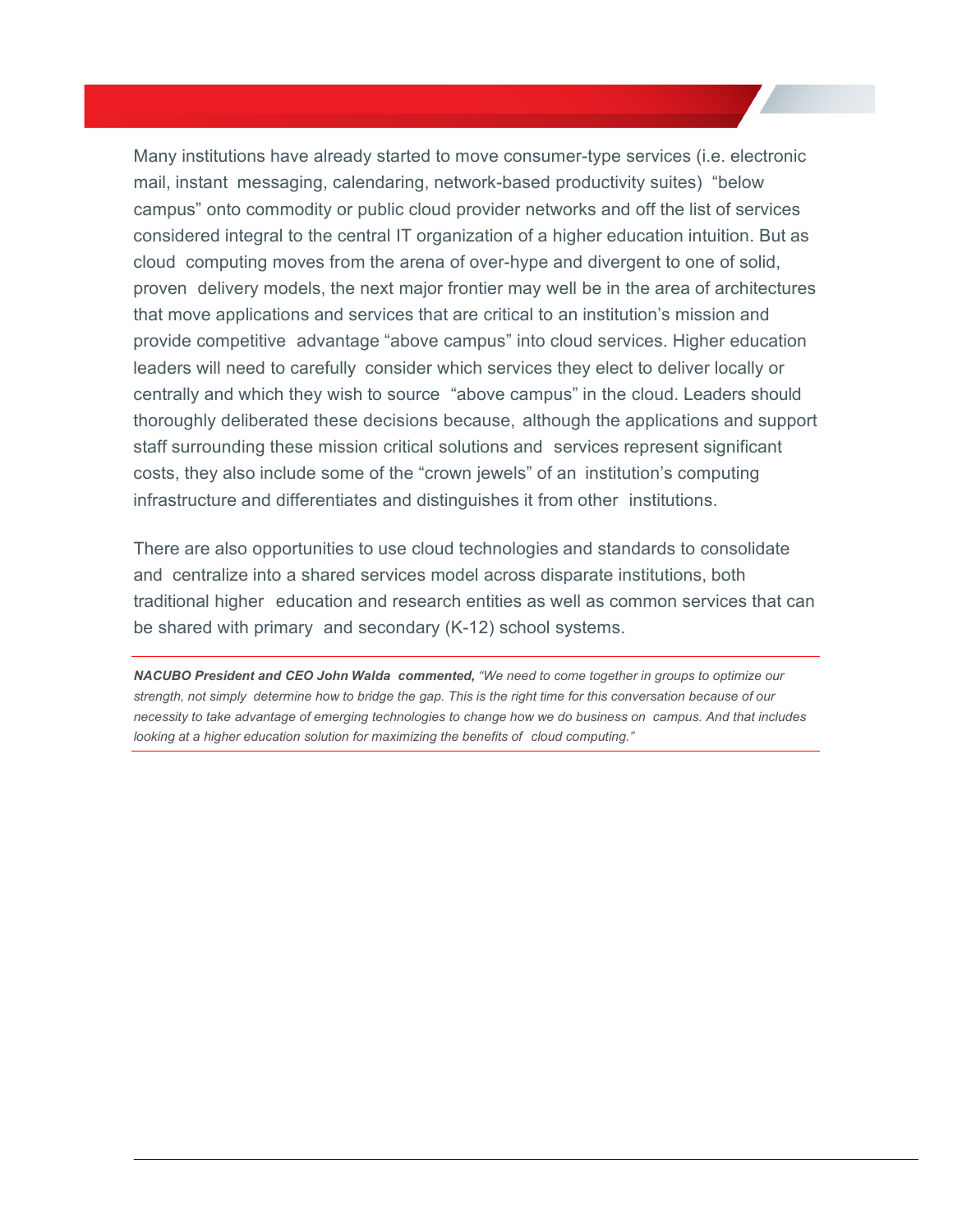Many institutions have already started to move consumer-type services (i.e. electronic mail, instant messaging, calendaring, network-based productivity suites) "below campus" onto commodity or public cloud provider networks and off the list of services considered integral to the central IT organization of a higher education intuition. But as cloud computing moves from the arena of over-hype and divergent to one of solid, proven delivery models, the next major frontier may well be in the area of architectures that move applications and services that are critical to an institution's mission and provide competitive advantage "above campus" into cloud services. Higher education leaders will need to carefully consider which services they elect to deliver locally or centrally and which they wish to source "above campus" in the cloud. Leaders should thoroughly deliberated these decisions because, although the applications and support staff surrounding these mission critical solutions and services represent significant costs, they also include some of the "crown jewels" of an institution's computing infrastructure and differentiates and distinguishes it from other institutions.

 There are also opportunities to use cloud technologies and standards to consolidate and centralize into a shared services model across disparate institutions, both traditional higher education and research entities as well as common services that can be shared with primary and secondary (K-12) school systems.

 *NACUBO President and CEO John Walda commented, "We need to come together in groups to optimize our strength, not simply determine how to bridge the gap. This is the right time for this conversation because of our necessity to take advantage of emerging technologies to change how we do business on campus. And that includes looking at a higher education solution for maximizing the benefits of cloud computing."*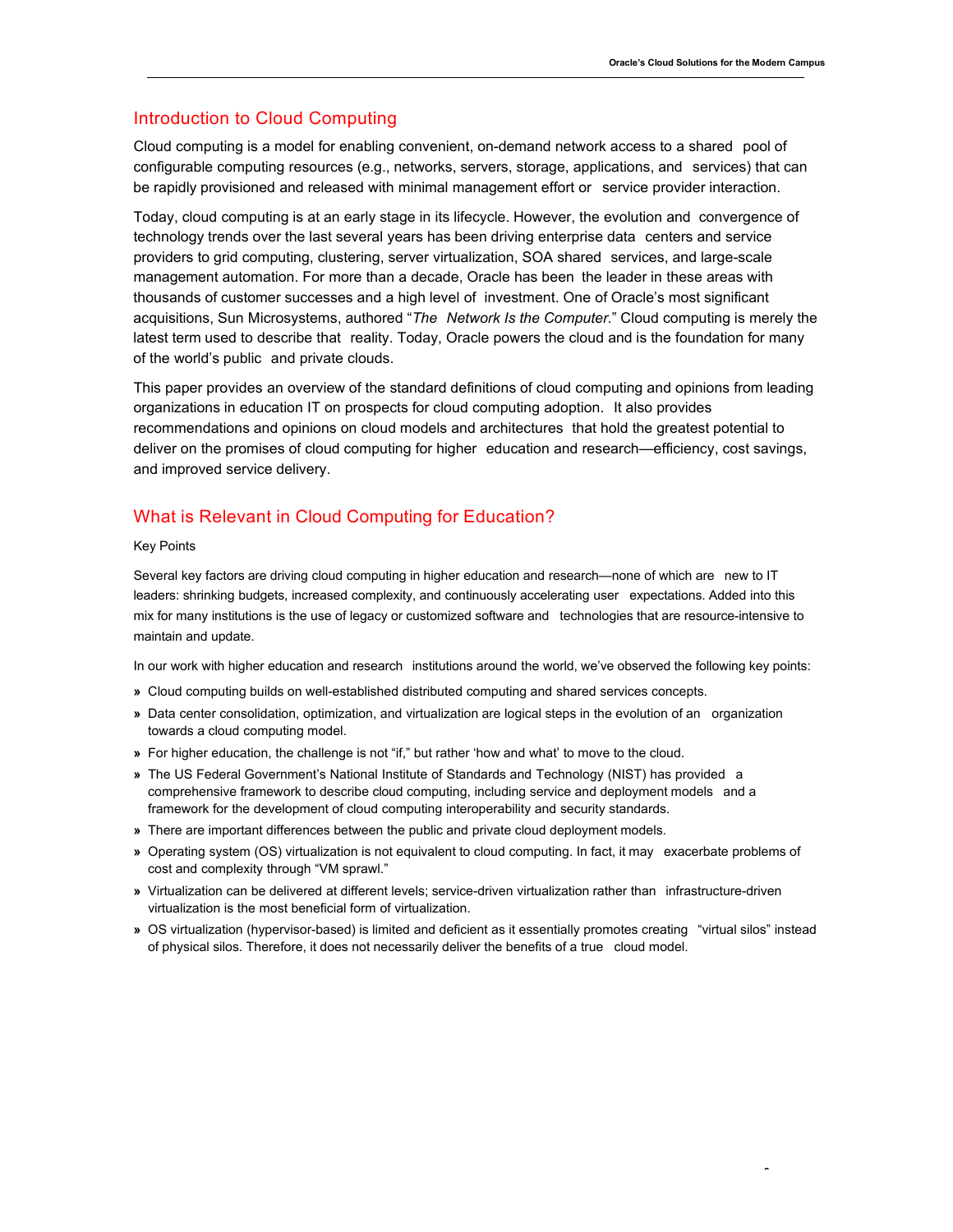# Introduction to Cloud Computing

 Cloud computing is a model for enabling convenient, on-demand network access to a shared pool of configurable computing resources (e.g., networks, servers, storage, applications, and services) that can be rapidly provisioned and released with minimal management effort or service provider interaction.

 Today, cloud computing is at an early stage in its lifecycle. However, the evolution and convergence of technology trends over the last several years has been driving enterprise data centers and service providers to grid computing, clustering, server virtualization, SOA shared services, and large-scale management automation. For more than a decade, Oracle has been the leader in these areas with thousands of customer successes and a high level of investment. One of Oracle's most significant  acquisitions, Sun Microsystems, authored "*The Network Is the Computer.*" Cloud computing is merely the latest term used to describe that reality. Today, Oracle powers the cloud and is the foundation for many of the world's public and private clouds.

 This paper provides an overview of the standard definitions of cloud computing and opinions from leading organizations in education IT on prospects for cloud computing adoption. It also provides recommendations and opinions on cloud models and architectures that hold the greatest potential to deliver on the promises of cloud computing for higher education and research—efficiency, cost savings, and improved service delivery.

## What is Relevant in Cloud Computing for Education?

#### Key Points

 Several key factors are driving cloud computing in higher education and research—none of which are new to IT leaders: shrinking budgets, increased complexity, and continuously accelerating user expectations. Added into this mix for many institutions is the use of legacy or customized software and technologies that are resource-intensive to maintain and update.

In our work with higher education and research institutions around the world, we've observed the following key points:

- **»** Cloud computing builds on well-established distributed computing and shared services concepts.
- **»** Data center consolidation, optimization, and virtualization are logical steps in the evolution of an organization towards a cloud computing model.
- **»** For higher education, the challenge is not "if," but rather 'how and what' to move to the cloud.
- **»** The US Federal Government's National Institute of Standards and Technology (NIST) has provided a comprehensive framework to describe cloud computing, including service and deployment models and a framework for the development of cloud computing interoperability and security standards.
- **»** There are important differences between the public and private cloud deployment models.
- **»** Operating system (OS) virtualization is not equivalent to cloud computing. In fact, it may exacerbate problems of cost and complexity through "VM sprawl."
- **»** Virtualization can be delivered at different levels; service-driven virtualization rather than infrastructure-driven virtualization is the most beneficial form of virtualization.
- **»** OS virtualization (hypervisor-based) is limited and deficient as it essentially promotes creating "virtual silos" instead of physical silos. Therefore, it does not necessarily deliver the benefits of a true cloud model.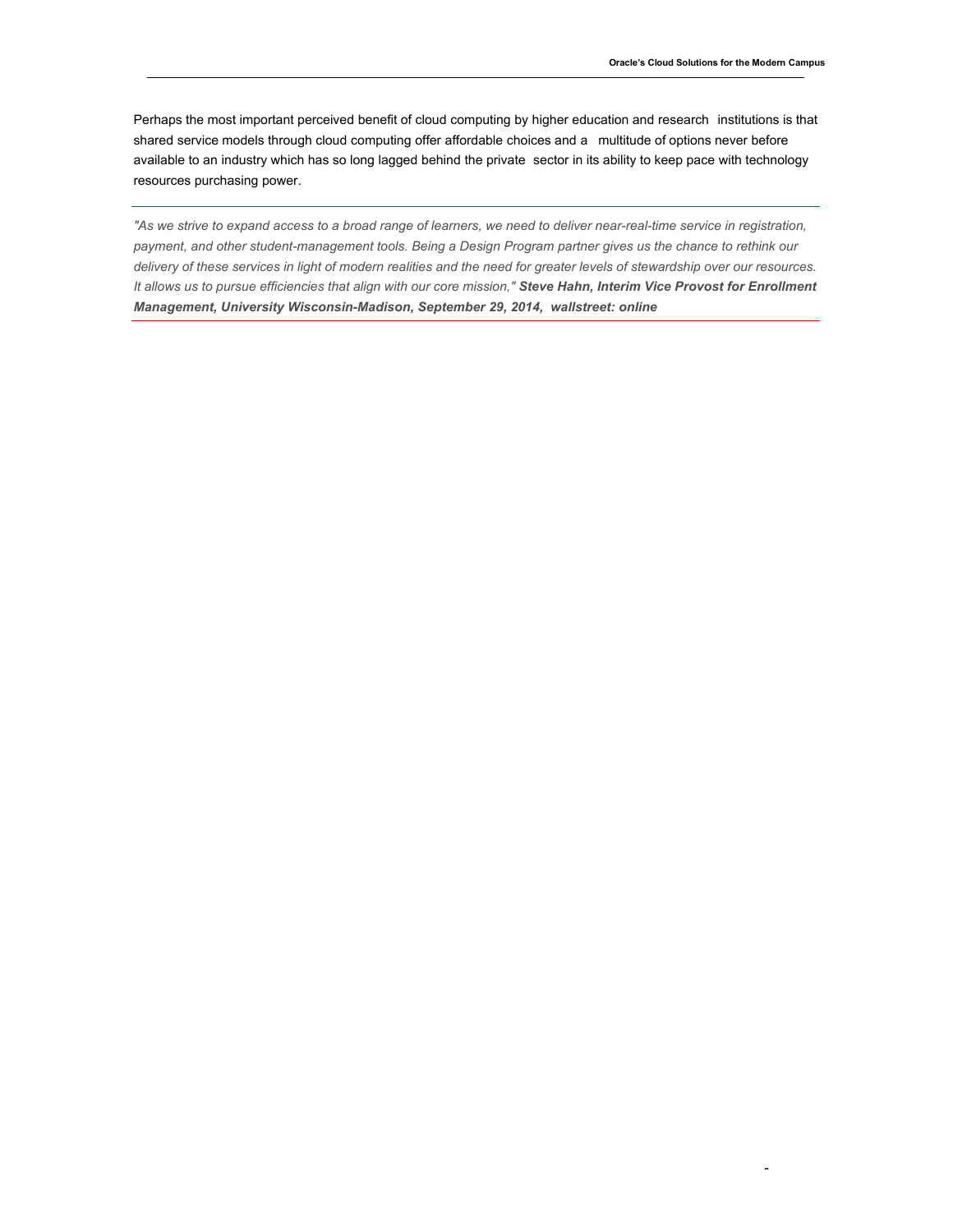Perhaps the most important perceived benefit of cloud computing by higher education and research institutions is that shared service models through cloud computing offer affordable choices and a multitude of options never before available to an industry which has so long lagged behind the private sector in its ability to keep pace with technology resources purchasing power.

 *"As we strive to expand access to a broad range of learners, we need to deliver near-real-time service in registration, payment, and other student-management tools. Being a Design Program partner gives us the chance to rethink our delivery of these services in light of modern realities and the need for greater levels of stewardship over our resources. It allows us to pursue efficiencies that align with our core mission," Steve Hahn, Interim Vice Provost for Enrollment Management, University Wisconsin-Madison, September 29, 2014, wallstreet: online*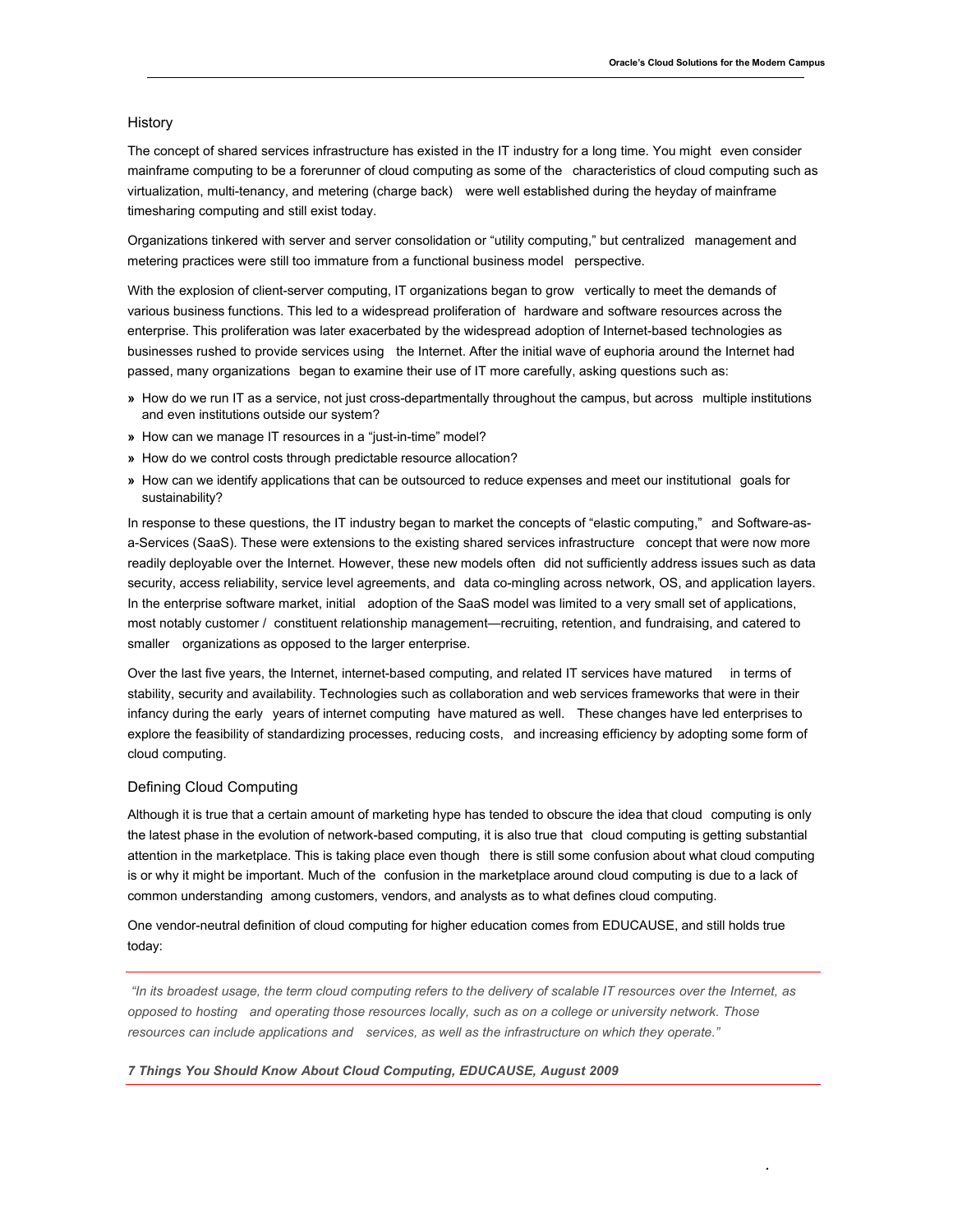#### History

 The concept of shared services infrastructure has existed in the IT industry for a long time. You might even consider mainframe computing to be a forerunner of cloud computing as some of the characteristics of cloud computing such as virtualization, multi-tenancy, and metering (charge back) were well established during the heyday of mainframe timesharing computing and still exist today.

 Organizations tinkered with server and server consolidation or "utility computing," but centralized management and metering practices were still too immature from a functional business model perspective.

 With the explosion of client-server computing, IT organizations began to grow vertically to meet the demands of various business functions. This led to a widespread proliferation of hardware and software resources across the enterprise. This proliferation was later exacerbated by the widespread adoption of Internet-based technologies as businesses rushed to provide services using the Internet. After the initial wave of euphoria around the Internet had passed, many organizations began to examine their use of IT more carefully, asking questions such as:

- **»** How do we run IT as a service, not just cross-departmentally throughout the campus, but across multiple institutions and even institutions outside our system?
- **»** How can we manage IT resources in a "just-in-time" model?
- **»** How do we control costs through predictable resource allocation?
- **»** How can we identify applications that can be outsourced to reduce expenses and meet our institutional goals for sustainability?

 In response to these questions, the IT industry began to market the concepts of "elastic computing," and Software-as- a-Services (SaaS). These were extensions to the existing shared services infrastructure concept that were now more readily deployable over the Internet. However, these new models often did not sufficiently address issues such as data security, access reliability, service level agreements, and data co-mingling across network, OS, and application layers. In the enterprise software market, initial adoption of the SaaS model was limited to a very small set of applications, most notably customer / constituent relationship management—recruiting, retention, and fundraising, and catered to smaller organizations as opposed to the larger enterprise.

 Over the last five years, the Internet, internet-based computing, and related IT services have matured in terms of stability, security and availability. Technologies such as collaboration and web services frameworks that were in their infancy during the early years of internet computing have matured as well. These changes have led enterprises to explore the feasibility of standardizing processes, reducing costs, and increasing efficiency by adopting some form of cloud computing.

#### Defining Cloud Computing

 Although it is true that a certain amount of marketing hype has tended to obscure the idea that cloud computing is only the latest phase in the evolution of network-based computing, it is also true that cloud computing is getting substantial attention in the marketplace. This is taking place even though there is still some confusion about what cloud computing is or why it might be important. Much of the confusion in the marketplace around cloud computing is due to a lack of common understanding among customers, vendors, and analysts as to what defines cloud computing.

 One vendor-neutral definition of cloud computing for higher education comes from EDUCAUSE, and still holds true today:

 *"In its broadest usage, the term cloud computing refers to the delivery of scalable IT resources over the Internet, as opposed to hosting and operating those resources locally, such as on a college or university network. Those resources can include applications and services, as well as the infrastructure on which they operate."* 

#### *7 Things You Should Know About Cloud Computing, EDUCAUSE, August 2009*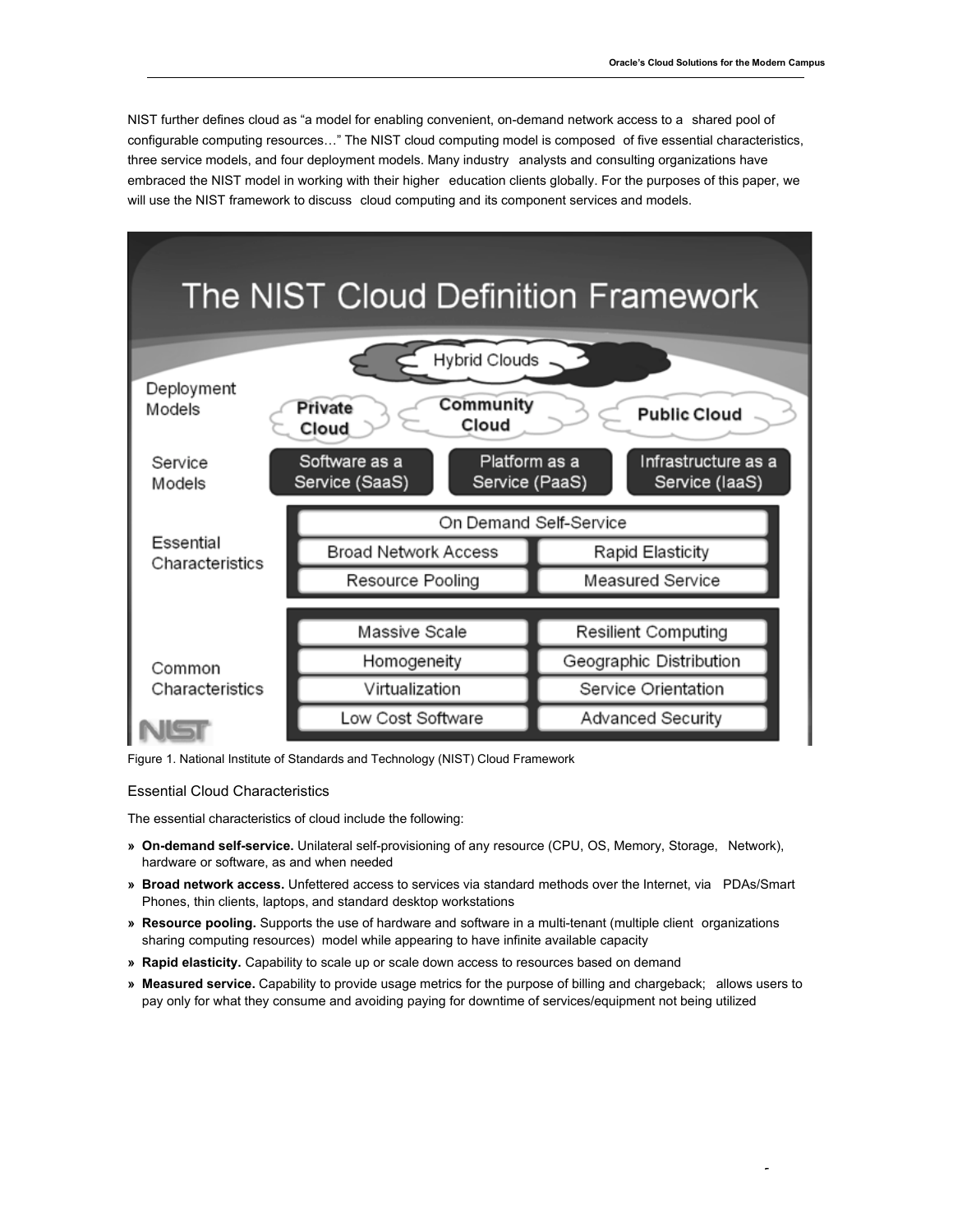NIST further defines cloud as "a model for enabling convenient, on-demand network access to a shared pool of configurable computing resources…" The NIST cloud computing model is composed of five essential characteristics, three service models, and four deployment models. Many industry analysts and consulting organizations have embraced the NIST model in working with their higher education clients globally. For the purposes of this paper, we will use the NIST framework to discuss cloud computing and its component services and models.



Figure 1. National Institute of Standards and Technology (NIST) Cloud Framework

#### Essential Cloud Characteristics

The essential characteristics of cloud include the following:

- **» On-demand self-service.** Unilateral self-provisioning of any resource (CPU, OS, Memory, Storage, Network), hardware or software, as and when needed
- **» Broad network access.** Unfettered access to services via standard methods over the Internet, via PDAs/Smart Phones, thin clients, laptops, and standard desktop workstations
- **» Resource pooling.** Supports the use of hardware and software in a multi-tenant (multiple client organizations sharing computing resources) model while appearing to have infinite available capacity
- **» Rapid elasticity.** Capability to scale up or scale down access to resources based on demand
- **» Measured service.** Capability to provide usage metrics for the purpose of billing and chargeback; allows users to pay only for what they consume and avoiding paying for downtime of services/equipment not being utilized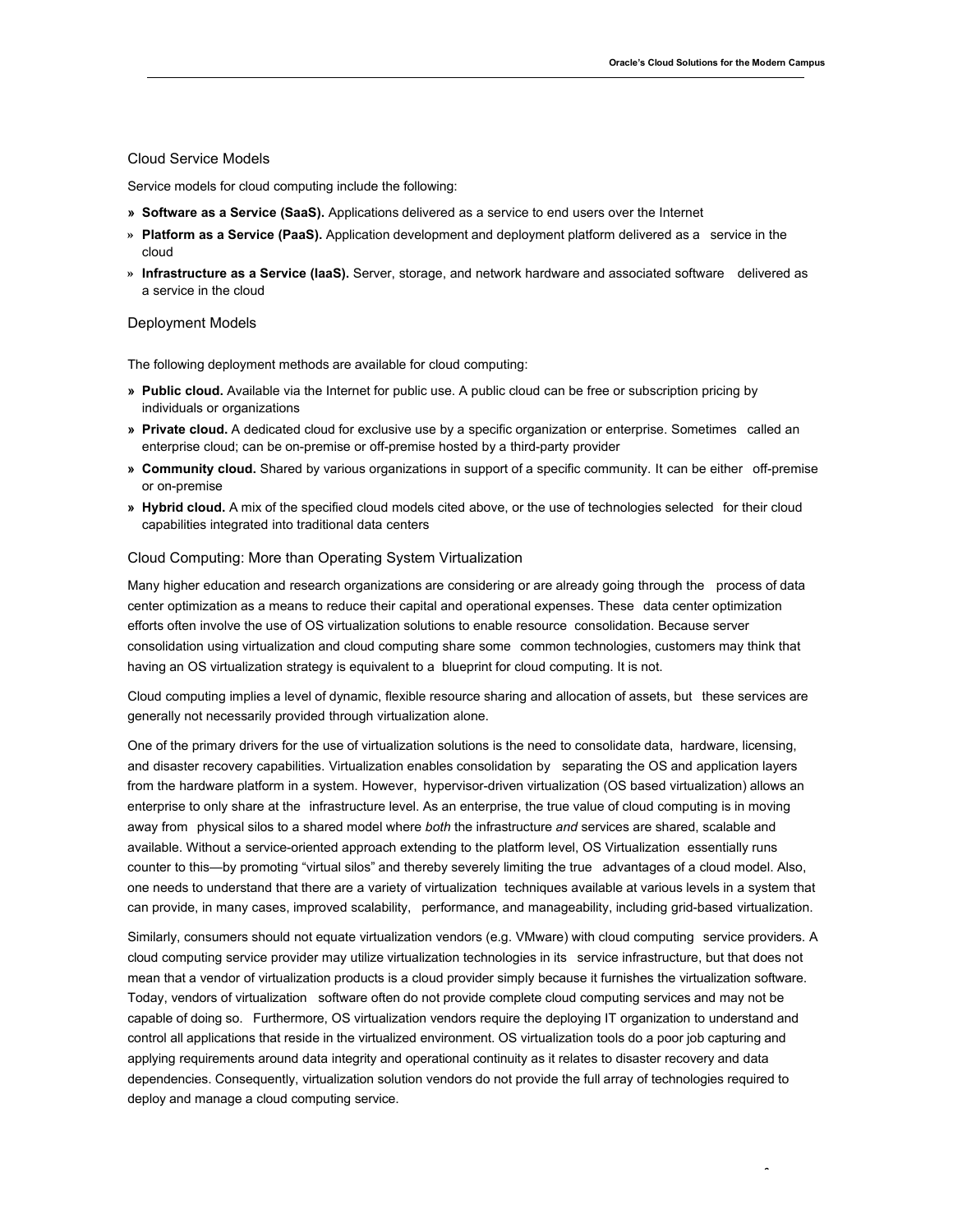#### Cloud Service Models

Service models for cloud computing include the following:

- **» Software as a Service (SaaS).** Applications delivered as a service to end users over the Internet
- **» Platform as a Service (PaaS).** Application development and deployment platform delivered as a service in the cloud
- **» Infrastructure as a Service (IaaS).** Server, storage, and network hardware and associated software delivered as a service in the cloud

#### Deployment Models

The following deployment methods are available for cloud computing:

- **» Public cloud.** Available via the Internet for public use. A public cloud can be free or subscription pricing by individuals or organizations
- **» Private cloud.** A dedicated cloud for exclusive use by a specific organization or enterprise. Sometimes called an enterprise cloud; can be on-premise or off-premise hosted by a third-party provider
- **» Community cloud.** Shared by various organizations in support of a specific community. It can be either off-premise or on-premise
- **» Hybrid cloud.** A mix of the specified cloud models cited above, or the use of technologies selected for their cloud capabilities integrated into traditional data centers

#### Cloud Computing: More than Operating System Virtualization

 Many higher education and research organizations are considering or are already going through the process of data center optimization as a means to reduce their capital and operational expenses. These data center optimization efforts often involve the use of OS virtualization solutions to enable resource consolidation. Because server consolidation using virtualization and cloud computing share some common technologies, customers may think that having an OS virtualization strategy is equivalent to a blueprint for cloud computing. It is not.

 Cloud computing implies a level of dynamic, flexible resource sharing and allocation of assets, but these services are generally not necessarily provided through virtualization alone.

 One of the primary drivers for the use of virtualization solutions is the need to consolidate data, hardware, licensing, and disaster recovery capabilities. Virtualization enables consolidation by separating the OS and application layers from the hardware platform in a system. However, hypervisor-driven virtualization (OS based virtualization) allows an enterprise to only share at the infrastructure level. As an enterprise, the true value of cloud computing is in moving away from physical silos to a shared model where *both* the infrastructure *and* services are shared, scalable and available. Without a service-oriented approach extending to the platform level, OS Virtualization essentially runs counter to this—by promoting "virtual silos" and thereby severely limiting the true advantages of a cloud model. Also, one needs to understand that there are a variety of virtualization techniques available at various levels in a system that can provide, in many cases, improved scalability, performance, and manageability, including grid-based virtualization.

 Similarly, consumers should not equate virtualization vendors (e.g. VMware) with cloud computing service providers. A cloud computing service provider may utilize virtualization technologies in its service infrastructure, but that does not mean that a vendor of virtualization products is a cloud provider simply because it furnishes the virtualization software. Today, vendors of virtualization software often do not provide complete cloud computing services and may not be capable of doing so. Furthermore, OS virtualization vendors require the deploying IT organization to understand and control all applications that reside in the virtualized environment. OS virtualization tools do a poor job capturing and applying requirements around data integrity and operational continuity as it relates to disaster recovery and data dependencies. Consequently, virtualization solution vendors do not provide the full array of technologies required to deploy and manage a cloud computing service.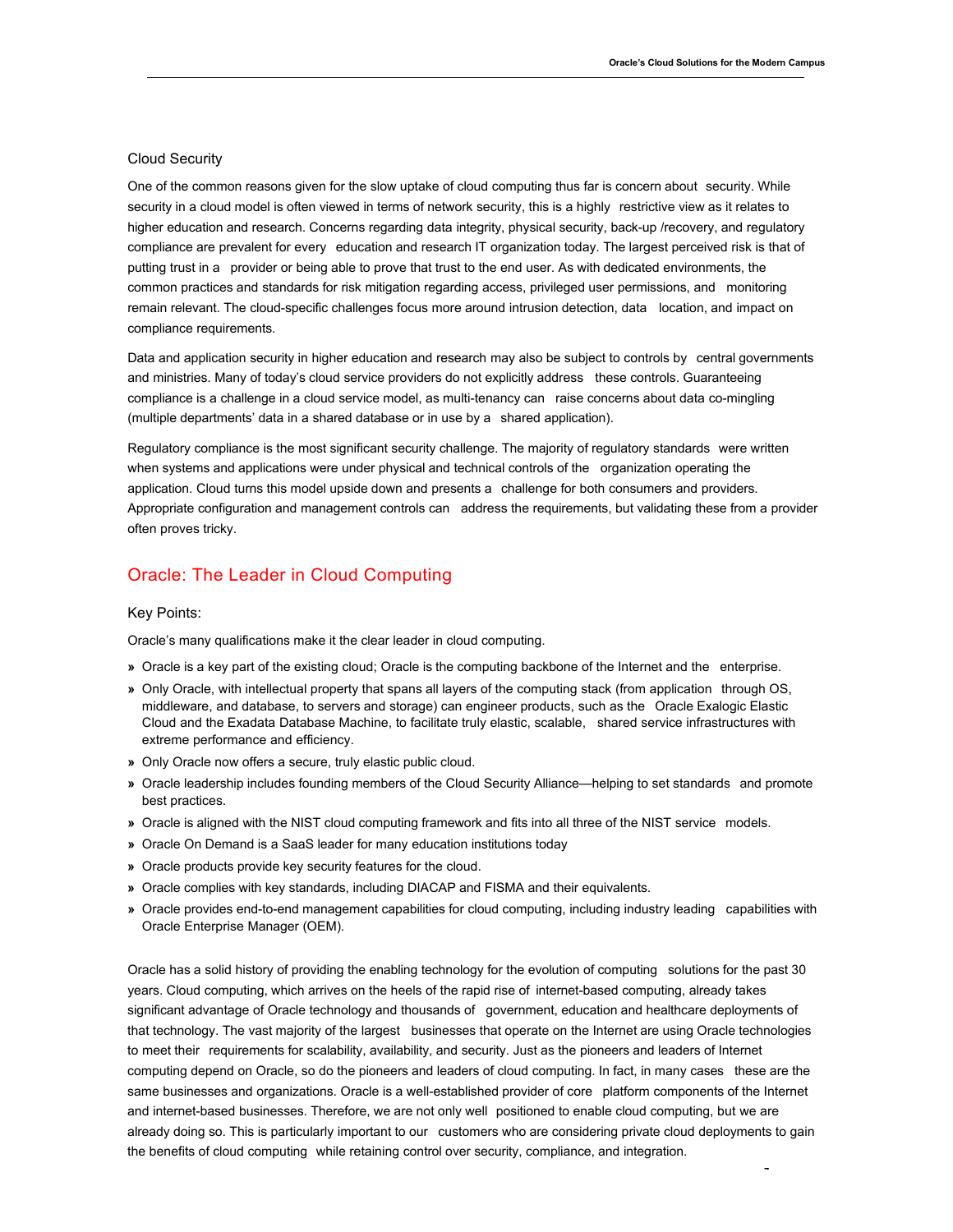#### Cloud Security

 One of the common reasons given for the slow uptake of cloud computing thus far is concern about security. While security in a cloud model is often viewed in terms of network security, this is a highly restrictive view as it relates to higher education and research. Concerns regarding data integrity, physical security, back-up /recovery, and regulatory compliance are prevalent for every education and research IT organization today. The largest perceived risk is that of putting trust in a provider or being able to prove that trust to the end user. As with dedicated environments, the common practices and standards for risk mitigation regarding access, privileged user permissions, and monitoring remain relevant. The cloud-specific challenges focus more around intrusion detection, data location, and impact on compliance requirements.

 Data and application security in higher education and research may also be subject to controls by central governments and ministries. Many of today's cloud service providers do not explicitly address these controls. Guaranteeing compliance is a challenge in a cloud service model, as multi-tenancy can raise concerns about data co-mingling (multiple departments' data in a shared database or in use by a shared application).

 Regulatory compliance is the most significant security challenge. The majority of regulatory standards were written when systems and applications were under physical and technical controls of the organization operating the application. Cloud turns this model upside down and presents a challenge for both consumers and providers. Appropriate configuration and management controls can address the requirements, but validating these from a provider often proves tricky.

# Oracle: The Leader in Cloud Computing

#### Key Points:

Oracle's many qualifications make it the clear leader in cloud computing.

- **»** Oracle is a key part of the existing cloud; Oracle is the computing backbone of the Internet and the enterprise.
- **»** Only Oracle, with intellectual property that spans all layers of the computing stack (from application through OS, middleware, and database, to servers and storage) can engineer products, such as the Oracle Exalogic Elastic Cloud and the Exadata Database Machine, to facilitate truly elastic, scalable, shared service infrastructures with extreme performance and efficiency.
- **»** Only Oracle now offers a secure, truly elastic public cloud.
- **»** Oracle leadership includes founding members of the Cloud Security Alliance—helping to set standards and promote best practices.
- **»** Oracle is aligned with the NIST cloud computing framework and fits into all three of the NIST service models.
- **»** Oracle On Demand is a SaaS leader for many education institutions today
- **»** Oracle products provide key security features for the cloud.
- **»** Oracle complies with key standards, including DIACAP and FISMA and their equivalents.
- **»** Oracle provides end-to-end management capabilities for cloud computing, including industry leading capabilities with Oracle Enterprise Manager (OEM).

 Oracle has a solid history of providing the enabling technology for the evolution of computing solutions for the past 30 years. Cloud computing, which arrives on the heels of the rapid rise of internet-based computing, already takes significant advantage of Oracle technology and thousands of government, education and healthcare deployments of that technology. The vast majority of the largest businesses that operate on the Internet are using Oracle technologies to meet their requirements for scalability, availability, and security. Just as the pioneers and leaders of Internet computing depend on Oracle, so do the pioneers and leaders of cloud computing. In fact, in many cases these are the same businesses and organizations. Oracle is a well-established provider of core platform components of the Internet and internet-based businesses. Therefore, we are not only well positioned to enable cloud computing, but we are already doing so. This is particularly important to our customers who are considering private cloud deployments to gain the benefits of cloud computing while retaining control over security, compliance, and integration.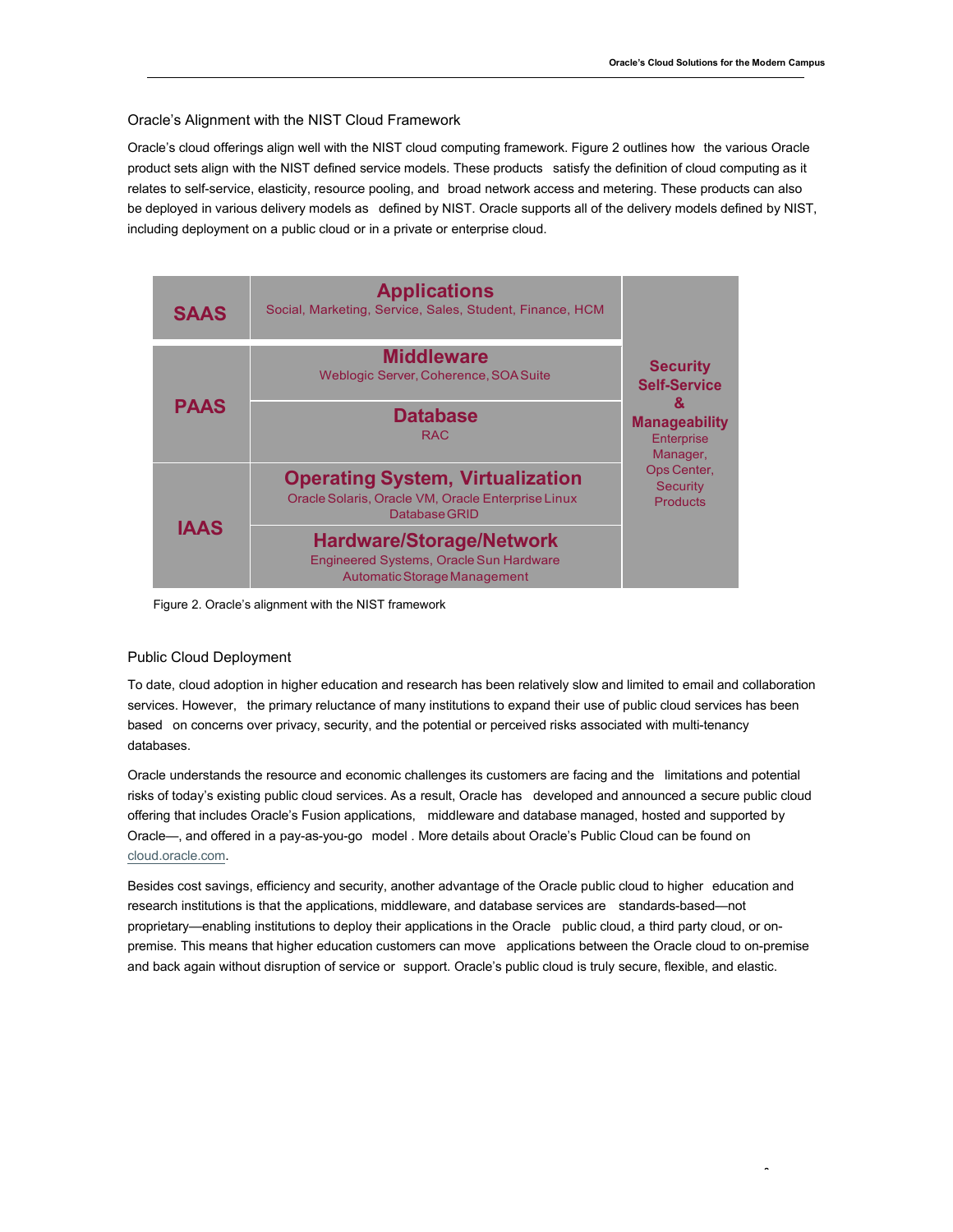#### Oracle's Alignment with the NIST Cloud Framework

 Oracle's cloud offerings align well with the NIST cloud computing framework. Figure 2 outlines how the various Oracle product sets align with the NIST defined service models. These products satisfy the definition of cloud computing as it relates to self-service, elasticity, resource pooling, and broad network access and metering. These products can also be deployed in various delivery models as defined by NIST. Oracle supports all of the delivery models defined by NIST, including deployment on a public cloud or in a private or enterprise cloud.

| <b>SAAS</b> | <b>Applications</b><br>Social, Marketing, Service, Sales, Student, Finance, HCM                                |                                                                                                                                                           |
|-------------|----------------------------------------------------------------------------------------------------------------|-----------------------------------------------------------------------------------------------------------------------------------------------------------|
|             | <b>Middleware</b><br>Weblogic Server, Coherence, SOA Suite                                                     | <b>Security</b><br><b>Self-Service</b><br>ୟ<br><b>Manageability</b><br><b>Enterprise</b><br>Manager,<br>Ops Center,<br><b>Security</b><br><b>Products</b> |
| <b>PAAS</b> | <b>Database</b><br><b>RAC</b>                                                                                  |                                                                                                                                                           |
|             | <b>Operating System, Virtualization</b><br>Oracle Solaris, Oracle VM, Oracle Enterprise Linux<br>Database GRID |                                                                                                                                                           |
| <b>IAAS</b> | <b>Hardware/Storage/Network</b><br>Engineered Systems, Oracle Sun Hardware<br>Automatic Storage Management     |                                                                                                                                                           |

Figure 2. Oracle's alignment with the NIST framework

#### Public Cloud Deployment

 To date, cloud adoption in higher education and research has been relatively slow and limited to email and collaboration services. However, the primary reluctance of many institutions to expand their use of public cloud services has been based on concerns over privacy, security, and the potential or perceived risks associated with multi-tenancy databases.

 Oracle understands the resource and economic challenges its customers are facing and the limitations and potential risks of today's existing public cloud services. As a result, Oracle has developed and announced a secure public cloud offering that includes Oracle's Fusion applications, middleware and database managed, hosted and supported by Oracle—, and offered in a pay-as-you-go model . More details about Oracle's Public Cloud can be found on cloud.oracle.com.

 Besides cost savings, efficiency and security, another advantage of the Oracle public cloud to higher education and research institutions is that the applications, middleware, and database services are standards-based—not proprietary—enabling institutions to deploy their applications in the Oracle public cloud, a third party cloud, or on- premise. This means that higher education customers can move applications between the Oracle cloud to on-premise and back again without disruption of service or support. Oracle's public cloud is truly secure, flexible, and elastic.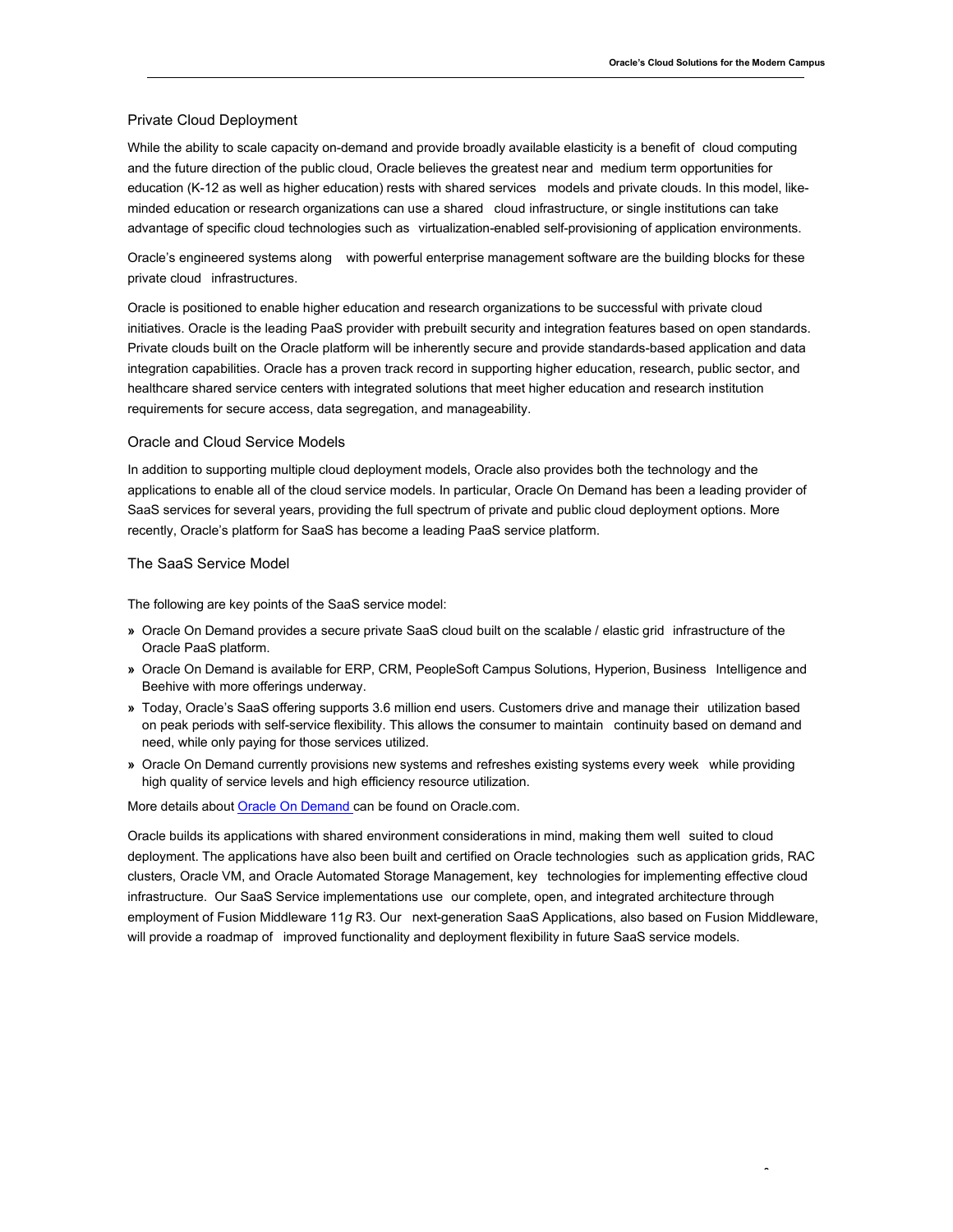#### Private Cloud Deployment

 While the ability to scale capacity on-demand and provide broadly available elasticity is a benefit of cloud computing and the future direction of the public cloud, Oracle believes the greatest near and medium term opportunities for education (K-12 as well as higher education) rests with shared services models and private clouds. In this model, like- minded education or research organizations can use a shared cloud infrastructure, or single institutions can take advantage of specific cloud technologies such as virtualization-enabled self-provisioning of application environments.

 Oracle's engineered systems along with powerful enterprise management software are the building blocks for these private cloud infrastructures.

 Oracle is positioned to enable higher education and research organizations to be successful with private cloud initiatives. Oracle is the leading PaaS provider with prebuilt security and integration features based on open standards. Private clouds built on the Oracle platform will be inherently secure and provide standards-based application and data integration capabilities. Oracle has a proven track record in supporting higher education, research, public sector, and healthcare shared service centers with integrated solutions that meet higher education and research institution requirements for secure access, data segregation, and manageability.

#### Oracle and Cloud Service Models

 In addition to supporting multiple cloud deployment models, Oracle also provides both the technology and the applications to enable all of the cloud service models. In particular, Oracle On Demand has been a leading provider of SaaS services for several years, providing the full spectrum of private and public cloud deployment options. More recently, Oracle's platform for SaaS has become a leading PaaS service platform.

#### The SaaS Service Model

The following are key points of the SaaS service model:

- **»** Oracle On Demand provides a secure private SaaS cloud built on the scalable / elastic grid infrastructure of the Oracle PaaS platform.
- **»** Oracle On Demand is available for ERP, CRM, PeopleSoft Campus Solutions, Hyperion, Business Intelligence and Beehive with more offerings underway.
- **»** Today, Oracle's SaaS offering supports 3.6 million end users. Customers drive and manage their utilization based on peak periods with self-service flexibility. This allows the consumer to maintain continuity based on demand and need, while only paying for those services utilized.
- **»** Oracle On Demand currently provisions new systems and refreshes existing systems every week while providing high quality of service levels and high efficiency resource utilization.

More details about Oracle On Demand can be found on Oracle.com.

 Oracle builds its applications with shared environment considerations in mind, making them well suited to cloud deployment. The applications have also been built and certified on Oracle technologies such as application grids, RAC clusters, Oracle VM, and Oracle Automated Storage Management, key technologies for implementing effective cloud infrastructure. Our SaaS Service implementations use our complete, open, and integrated architecture through employment of Fusion Middleware 11*g* R3. Our next-generation SaaS Applications, also based on Fusion Middleware, will provide a roadmap of improved functionality and deployment flexibility in future SaaS service models.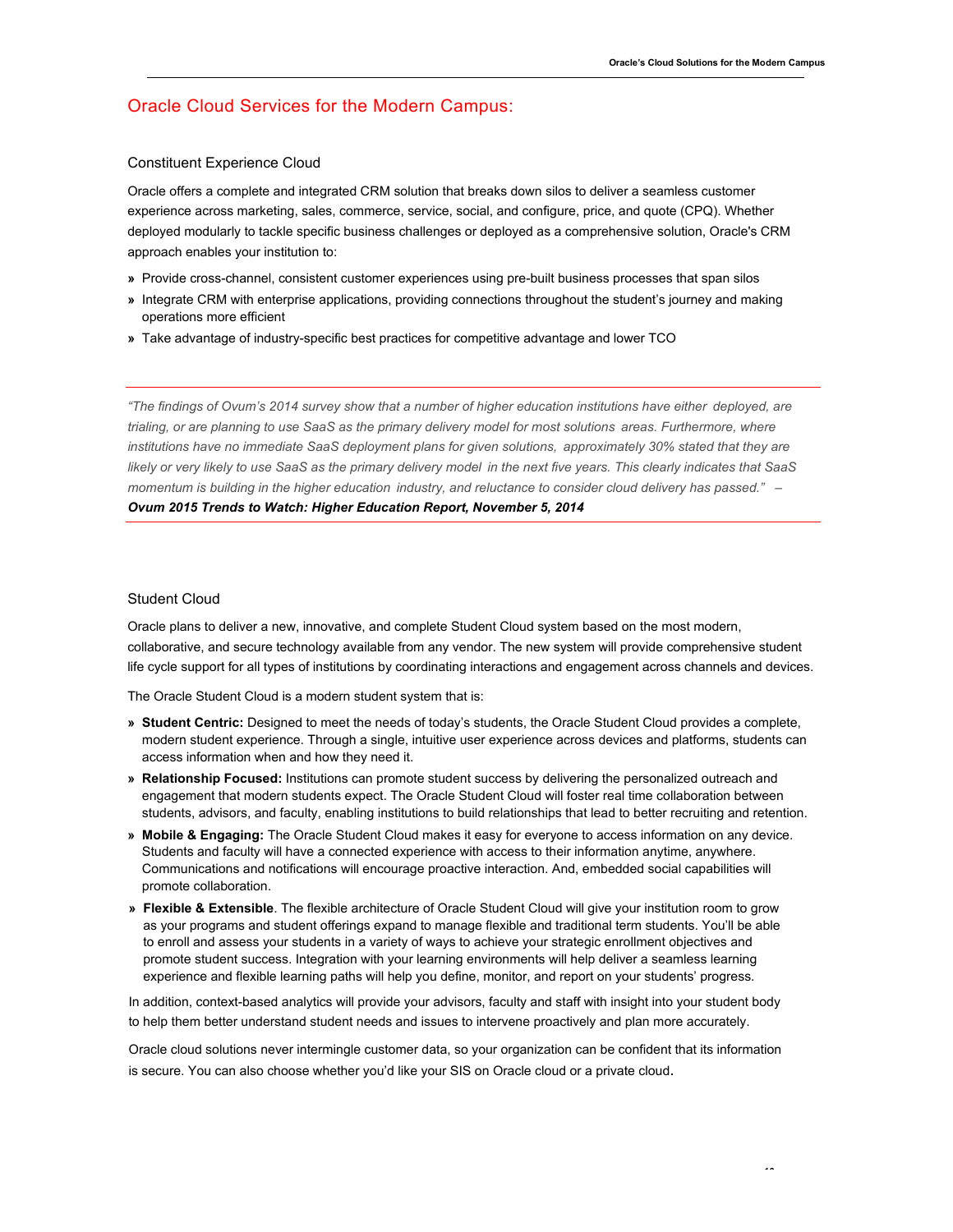# Oracle Cloud Services for the Modern Campus:

#### Constituent Experience Cloud

 Oracle offers a complete and integrated CRM solution that breaks down silos to deliver a seamless customer experience across marketing, sales, commerce, service, social, and configure, price, and quote (CPQ). Whether deployed modularly to tackle specific business challenges or deployed as a comprehensive solution, Oracle's CRM approach enables your institution to:

- **»** Provide cross-channel, consistent customer experiences using pre-built business processes that span silos
- **»** Integrate CRM with enterprise applications, providing connections throughout the student's journey and making operations more efficient
- **»** Take advantage of industry-specific best practices for competitive advantage and lower TCO

 *"The findings of Ovum's 2014 survey show that a number of higher education institutions have either deployed, are trialing, or are planning to use SaaS as the primary delivery model for most solutions areas. Furthermore, where institutions have no immediate SaaS deployment plans for given solutions, approximately 30% stated that they are likely or very likely to use SaaS as the primary delivery model in the next five years. This clearly indicates that SaaS momentum is building in the higher education industry, and reluctance to consider cloud delivery has passed." – Ovum 2015 Trends to Watch: Higher Education Report, November 5, 2014* 

#### Student Cloud

 Oracle plans to deliver a new, innovative, and complete Student Cloud system based on the most modern, collaborative, and secure technology available from any vendor. The new system will provide comprehensive student life cycle support for all types of institutions by coordinating interactions and engagement across channels and devices.

The Oracle Student Cloud is a modern student system that is:

- **» Student Centric:** Designed to meet the needs of today's students, the Oracle Student Cloud provides a complete, modern student experience. Through a single, intuitive user experience across devices and platforms, students can access information when and how they need it.
- **» Relationship Focused:** Institutions can promote student success by delivering the personalized outreach and engagement that modern students expect. The Oracle Student Cloud will foster real time collaboration between students, advisors, and faculty, enabling institutions to build relationships that lead to better recruiting and retention.
- **» Mobile & Engaging:** The Oracle Student Cloud makes it easy for everyone to access information on any device. Students and faculty will have a connected experience with access to their information anytime, anywhere. Communications and notifications will encourage proactive interaction. And, embedded social capabilities will promote collaboration.
- **» Flexible & Extensible**. The flexible architecture of Oracle Student Cloud will give your institution room to grow as your programs and student offerings expand to manage flexible and traditional term students. You'll be able to enroll and assess your students in a variety of ways to achieve your strategic enrollment objectives and promote student success. Integration with your learning environments will help deliver a seamless learning experience and flexible learning paths will help you define, monitor, and report on your students' progress.

 In addition, context-based analytics will provide your advisors, faculty and staff with insight into your student body to help them better understand student needs and issues to intervene proactively and plan more accurately.

 Oracle cloud solutions never intermingle customer data, so your organization can be confident that its information is secure. You can also choose whether you'd like your SIS on Oracle cloud or a private cloud.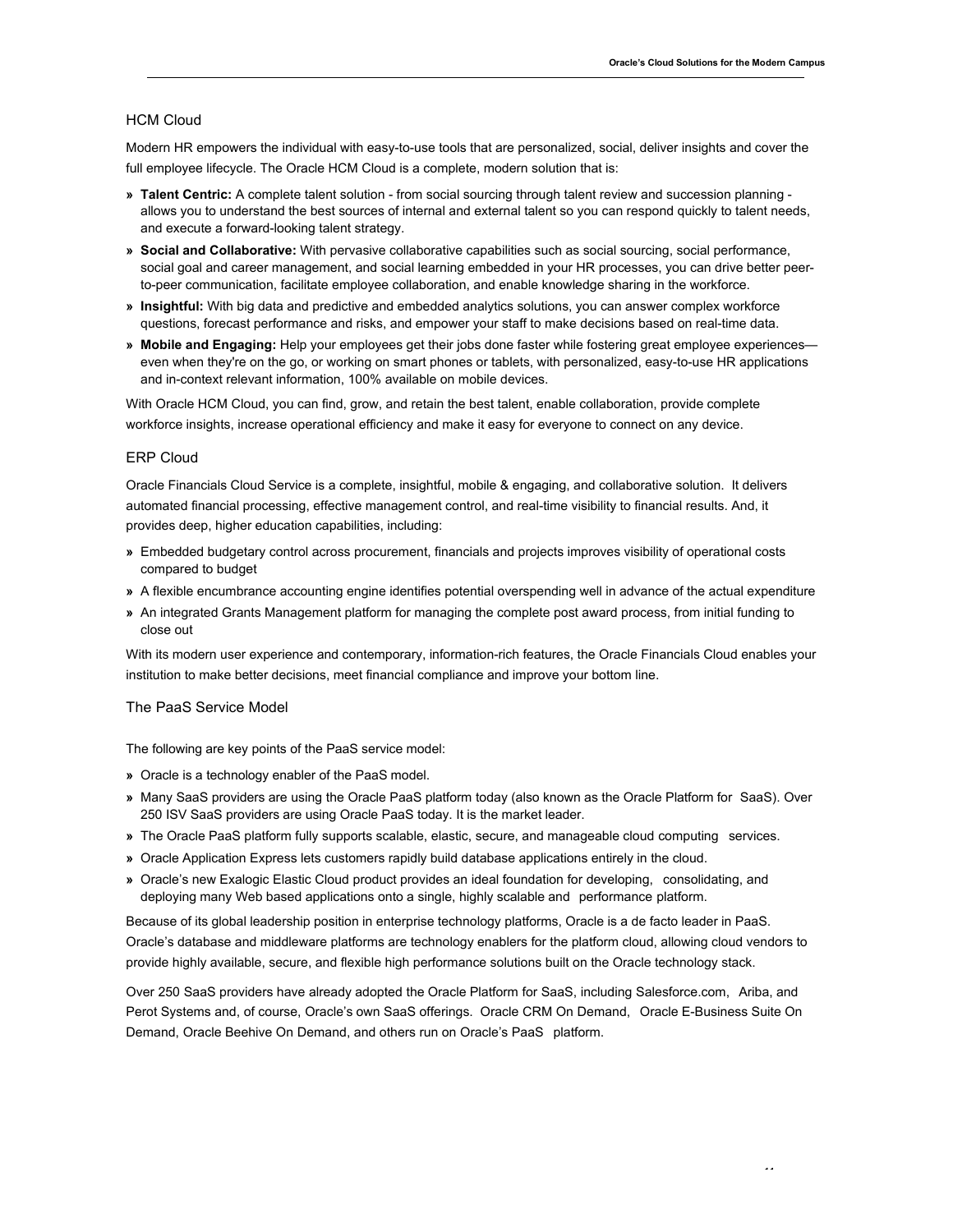#### HCM Cloud

 Modern HR empowers the individual with easy-to-use tools that are personalized, social, deliver insights and cover the full employee lifecycle. The Oracle HCM Cloud is a complete, modern solution that is:

- **» Talent Centric:** A complete talent solution from social sourcing through talent review and succession planning allows you to understand the best sources of internal and external talent so you can respond quickly to talent needs, and execute a forward-looking talent strategy.
- **» Social and Collaborative:** With pervasive collaborative capabilities such as social sourcing, social performance, social goal and career management, and social learning embedded in your HR processes, you can drive better peer-to-peer communication, facilitate employee collaboration, and enable knowledge sharing in the workforce.
- **» Insightful:** With big data and predictive and embedded analytics solutions, you can answer complex workforce questions, forecast performance and risks, and empower your staff to make decisions based on real-time data.
- **» Mobile and Engaging:** Help your employees get their jobs done faster while fostering great employee experiences— even when they're on the go, or working on smart phones or tablets, with personalized, easy-to-use HR applications and in-context relevant information, 100% available on mobile devices.

 With Oracle HCM Cloud, you can find, grow, and retain the best talent, enable collaboration, provide complete workforce insights, increase operational efficiency and make it easy for everyone to connect on any device.

#### ERP Cloud

 Oracle Financials Cloud Service is a complete, insightful, mobile & engaging, and collaborative solution. It delivers automated financial processing, effective management control, and real-time visibility to financial results. And, it provides deep, higher education capabilities, including:

- **»** Embedded budgetary control across procurement, financials and projects improves visibility of operational costs compared to budget
- **»** A flexible encumbrance accounting engine identifies potential overspending well in advance of the actual expenditure
- **»** An integrated Grants Management platform for managing the complete post award process, from initial funding to close out

 With its modern user experience and contemporary, information-rich features, the Oracle Financials Cloud enables your institution to make better decisions, meet financial compliance and improve your bottom line.

#### The PaaS Service Model

The following are key points of the PaaS service model:

- **»** Oracle is a technology enabler of the PaaS model.
- **»** Many SaaS providers are using the Oracle PaaS platform today (also known as the Oracle Platform for SaaS). Over 250 ISV SaaS providers are using Oracle PaaS today. It is the market leader.
- **»** The Oracle PaaS platform fully supports scalable, elastic, secure, and manageable cloud computing services.
- **»** Oracle Application Express lets customers rapidly build database applications entirely in the cloud.
- **»** Oracle's new Exalogic Elastic Cloud product provides an ideal foundation for developing, consolidating, and deploying many Web based applications onto a single, highly scalable and performance platform.

 Because of its global leadership position in enterprise technology platforms, Oracle is a de facto leader in PaaS. Oracle's database and middleware platforms are technology enablers for the platform cloud, allowing cloud vendors to provide highly available, secure, and flexible high performance solutions built on the Oracle technology stack.

 Over 250 SaaS providers have already adopted the Oracle Platform for SaaS, including Salesforce.com, Ariba, and Perot Systems and, of course, Oracle's own SaaS offerings. Oracle CRM On Demand, Oracle E-Business Suite On Demand, Oracle Beehive On Demand, and others run on Oracle's PaaS platform.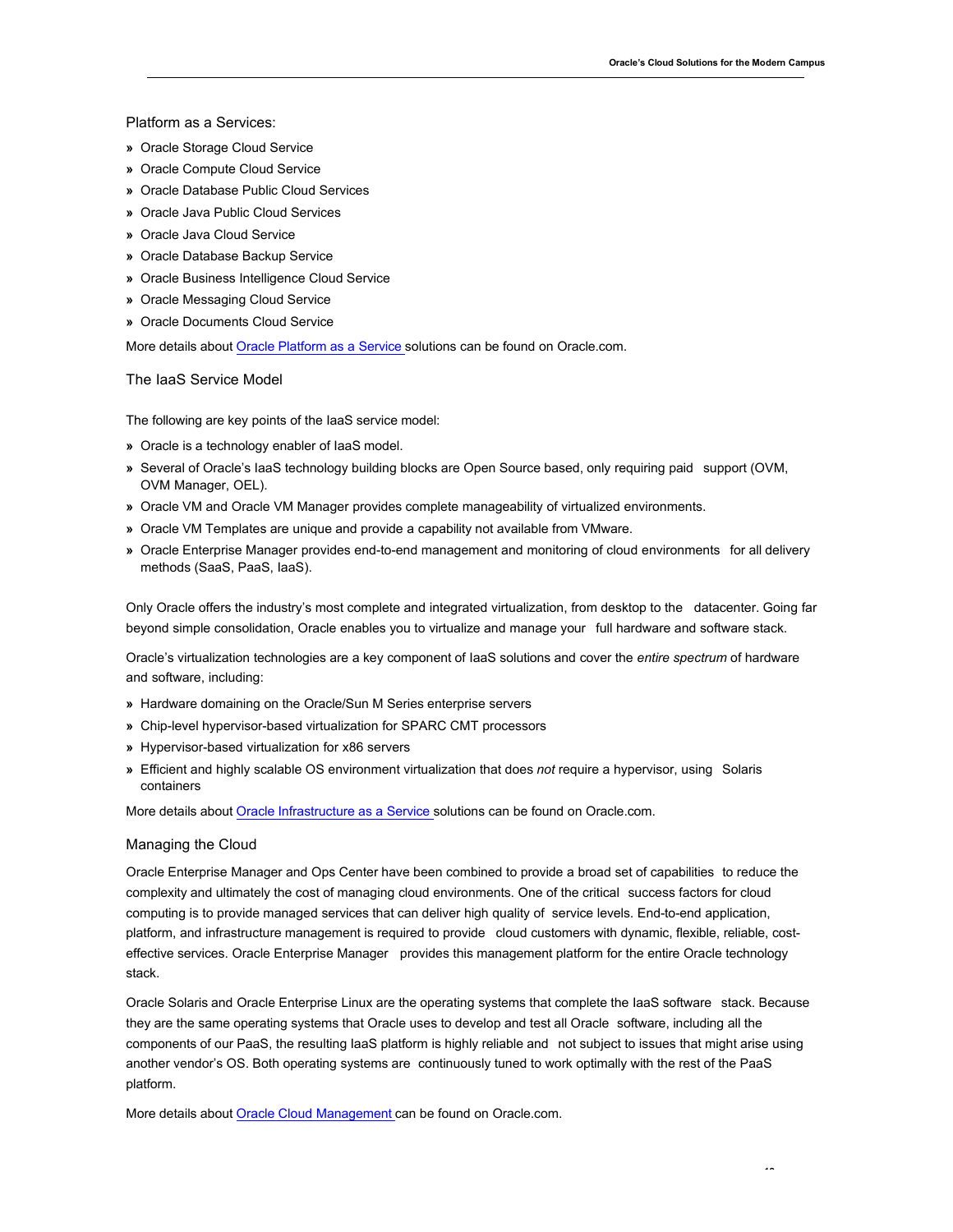Platform as a Services:

- **»** Oracle Storage Cloud Service
- **»** Oracle Compute Cloud Service
- **»** Oracle Database Public Cloud Services
- **»** Oracle Java Public Cloud Services
- **»** Oracle Java Cloud Service
- **»** Oracle Database Backup Service
- **»** Oracle Business Intelligence Cloud Service
- **»** Oracle Messaging Cloud Service
- **»** Oracle Documents Cloud Service

More details about Oracle Platform as a Service solutions can be found on Oracle.com.

#### The IaaS Service Model

The following are key points of the IaaS service model:

- **»** Oracle is a technology enabler of IaaS model.
- **»** Several of Oracle's IaaS technology building blocks are Open Source based, only requiring paid support (OVM, OVM Manager, OEL).
- **»** Oracle VM and Oracle VM Manager provides complete manageability of virtualized environments.
- **»** Oracle VM Templates are unique and provide a capability not available from VMware.
- **»** Oracle Enterprise Manager provides end-to-end management and monitoring of cloud environments for all delivery methods (SaaS, PaaS, IaaS).

 Only Oracle offers the industry's most complete and integrated virtualization, from desktop to the datacenter. Going far beyond simple consolidation, Oracle enables you to virtualize and manage your full hardware and software stack.

 Oracle's virtualization technologies are a key component of IaaS solutions and cover the *entire spectrum* of hardware and software, including:

- **»** Hardware domaining on the Oracle/Sun M Series enterprise servers
- **»** Chip-level hypervisor-based virtualization for SPARC CMT processors
- **»** Hypervisor-based virtualization for x86 servers
- **»** Efficient and highly scalable OS environment virtualization that does *not* require a hypervisor, using Solaris containers

More details about Oracle Infrastructure as a Service solutions can be found on Oracle.com.

#### Managing the Cloud

 Oracle Enterprise Manager and Ops Center have been combined to provide a broad set of capabilities to reduce the complexity and ultimately the cost of managing cloud environments. One of the critical success factors for cloud computing is to provide managed services that can deliver high quality of service levels. End-to-end application, platform, and infrastructure management is required to provide cloud customers with dynamic, flexible, reliable, cost- effective services. Oracle Enterprise Manager provides this management platform for the entire Oracle technology stack.

 Oracle Solaris and Oracle Enterprise Linux are the operating systems that complete the IaaS software stack. Because they are the same operating systems that Oracle uses to develop and test all Oracle software, including all the components of our PaaS, the resulting IaaS platform is highly reliable and not subject to issues that might arise using another vendor's OS. Both operating systems are continuously tuned to work optimally with the rest of the PaaS platform.

More details about Oracle Cloud Management can be found on Oracle.com.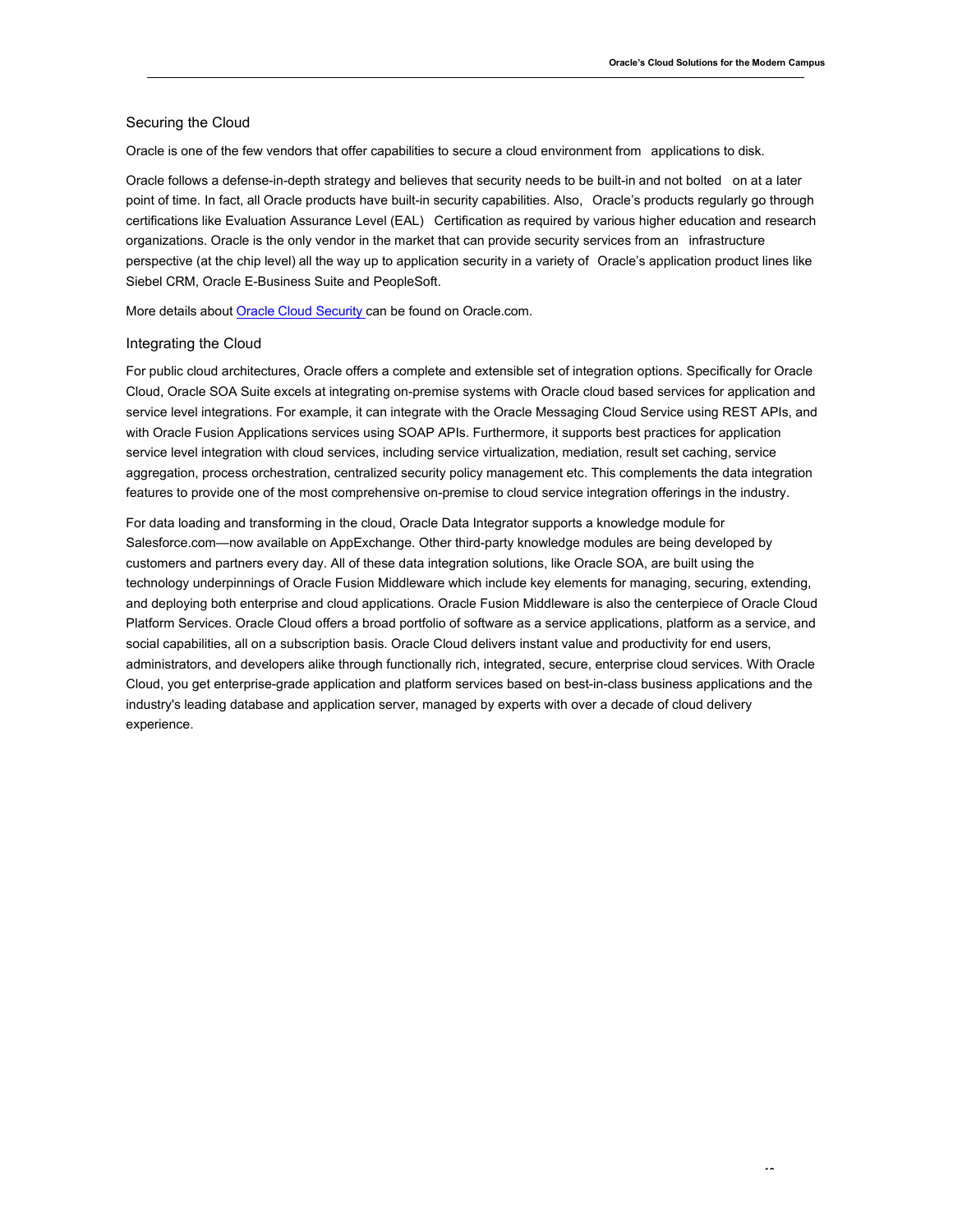#### Securing the Cloud

Oracle is one of the few vendors that offer capabilities to secure a cloud environment from applications to disk.

 Oracle follows a defense-in-depth strategy and believes that security needs to be built-in and not bolted on at a later point of time. In fact, all Oracle products have built-in security capabilities. Also, Oracle's products regularly go through certifications like Evaluation Assurance Level (EAL) Certification as required by various higher education and research organizations. Oracle is the only vendor in the market that can provide security services from an infrastructure perspective (at the chip level) all the way up to application security in a variety of Oracle's application product lines like Siebel CRM, Oracle E-Business Suite and PeopleSoft.

More details about Oracle Cloud Security can be found on Oracle.com.

#### Integrating the Cloud

 For public cloud architectures, Oracle offers a complete and extensible set of integration options. Specifically for Oracle Cloud, Oracle SOA Suite excels at integrating on-premise systems with Oracle cloud based services for application and service level integrations. For example, it can integrate with the Oracle Messaging Cloud Service using REST APIs, and with Oracle Fusion Applications services using SOAP APIs. Furthermore, it supports best practices for application service level integration with cloud services, including service virtualization, mediation, result set caching, service aggregation, process orchestration, centralized security policy management etc. This complements the data integration features to provide one of the most comprehensive on-premise to cloud service integration offerings in the industry.

 For data loading and transforming in the cloud, Oracle Data Integrator supports a knowledge module for Salesforce.com—now available on AppExchange. Other third-party knowledge modules are being developed by customers and partners every day. All of these data integration solutions, like Oracle SOA, are built using the technology underpinnings of Oracle Fusion Middleware which include key elements for managing, securing, extending, and deploying both enterprise and cloud applications. Oracle Fusion Middleware is also the centerpiece of Oracle Cloud Platform Services. Oracle Cloud offers a broad portfolio of software as a service applications, platform as a service, and social capabilities, all on a subscription basis. Oracle Cloud delivers instant value and productivity for end users, administrators, and developers alike through functionally rich, integrated, secure, enterprise cloud services. With Oracle Cloud, you get enterprise-grade application and platform services based on best-in-class business applications and the industry's leading database and application server, managed by experts with over a decade of cloud delivery experience.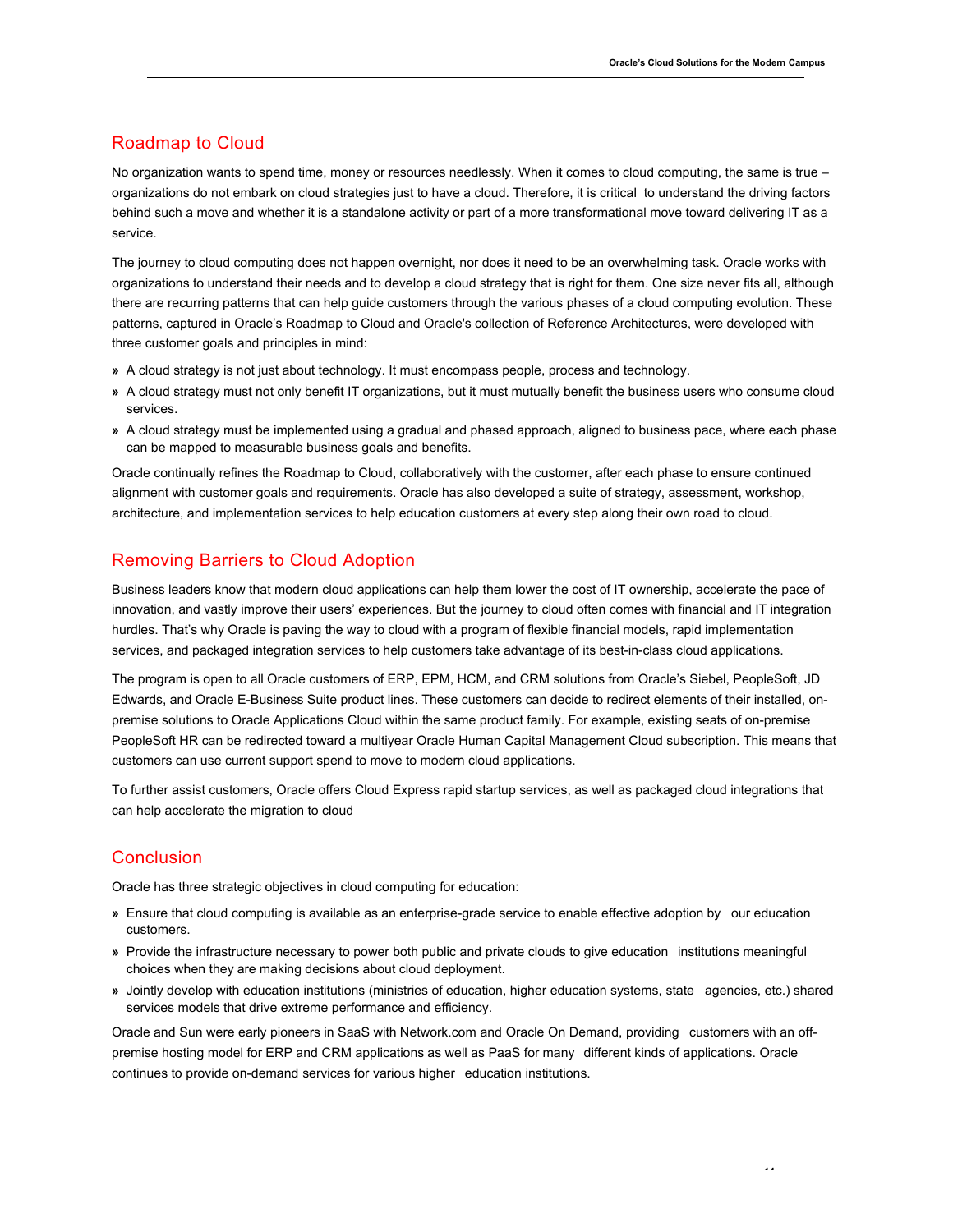# Roadmap to Cloud

 No organization wants to spend time, money or resources needlessly. When it comes to cloud computing, the same is true – organizations do not embark on cloud strategies just to have a cloud. Therefore, it is critical to understand the driving factors behind such a move and whether it is a standalone activity or part of a more transformational move toward delivering IT as a service.

 The journey to cloud computing does not happen overnight, nor does it need to be an overwhelming task. Oracle works with organizations to understand their needs and to develop a cloud strategy that is right for them. One size never fits all, although there are recurring patterns that can help guide customers through the various phases of a cloud computing evolution. These patterns, captured in Oracle's Roadmap to Cloud and Oracle's collection of Reference Architectures, were developed with three customer goals and principles in mind:

- **»** A cloud strategy is not just about technology. It must encompass people, process and technology.
- **»** A cloud strategy must not only benefit IT organizations, but it must mutually benefit the business users who consume cloud services.
- **»** A cloud strategy must be implemented using a gradual and phased approach, aligned to business pace, where each phase can be mapped to measurable business goals and benefits.

 Oracle continually refines the Roadmap to Cloud, collaboratively with the customer, after each phase to ensure continued alignment with customer goals and requirements. Oracle has also developed a suite of strategy, assessment, workshop, architecture, and implementation services to help education customers at every step along their own road to cloud.

# Removing Barriers to Cloud Adoption

 Business leaders know that modern cloud applications can help them lower the cost of IT ownership, accelerate the pace of innovation, and vastly improve their users' experiences. But the journey to cloud often comes with financial and IT integration hurdles. That's why Oracle is paving the way to cloud with a program of flexible financial models, rapid implementation services, and packaged integration services to help customers take advantage of its best-in-class cloud applications.

 The program is open to all Oracle customers of ERP, EPM, HCM, and CRM solutions from Oracle's Siebel, PeopleSoft, JD Edwards, and Oracle E-Business Suite product lines. These customers can decide to redirect elements of their installed, on- premise solutions to Oracle Applications Cloud within the same product family. For example, existing seats of on-premise PeopleSoft HR can be redirected toward a multiyear Oracle Human Capital Management Cloud subscription. This means that customers can use current support spend to move to modern cloud applications.

 To further assist customers, Oracle offers Cloud Express rapid startup services, as well as packaged cloud integrations that can help accelerate the migration to cloud

## **Conclusion**

Oracle has three strategic objectives in cloud computing for education:

- **»** Ensure that cloud computing is available as an enterprise-grade service to enable effective adoption by our education customers.
- **»** Provide the infrastructure necessary to power both public and private clouds to give education institutions meaningful choices when they are making decisions about cloud deployment.
- **»** Jointly develop with education institutions (ministries of education, higher education systems, state agencies, etc.) shared services models that drive extreme performance and efficiency.

 Oracle and Sun were early pioneers in SaaS with Network.com and Oracle On Demand, providing customers with an off- premise hosting model for ERP and CRM applications as well as PaaS for many different kinds of applications. Oracle continues to provide on-demand services for various higher education institutions.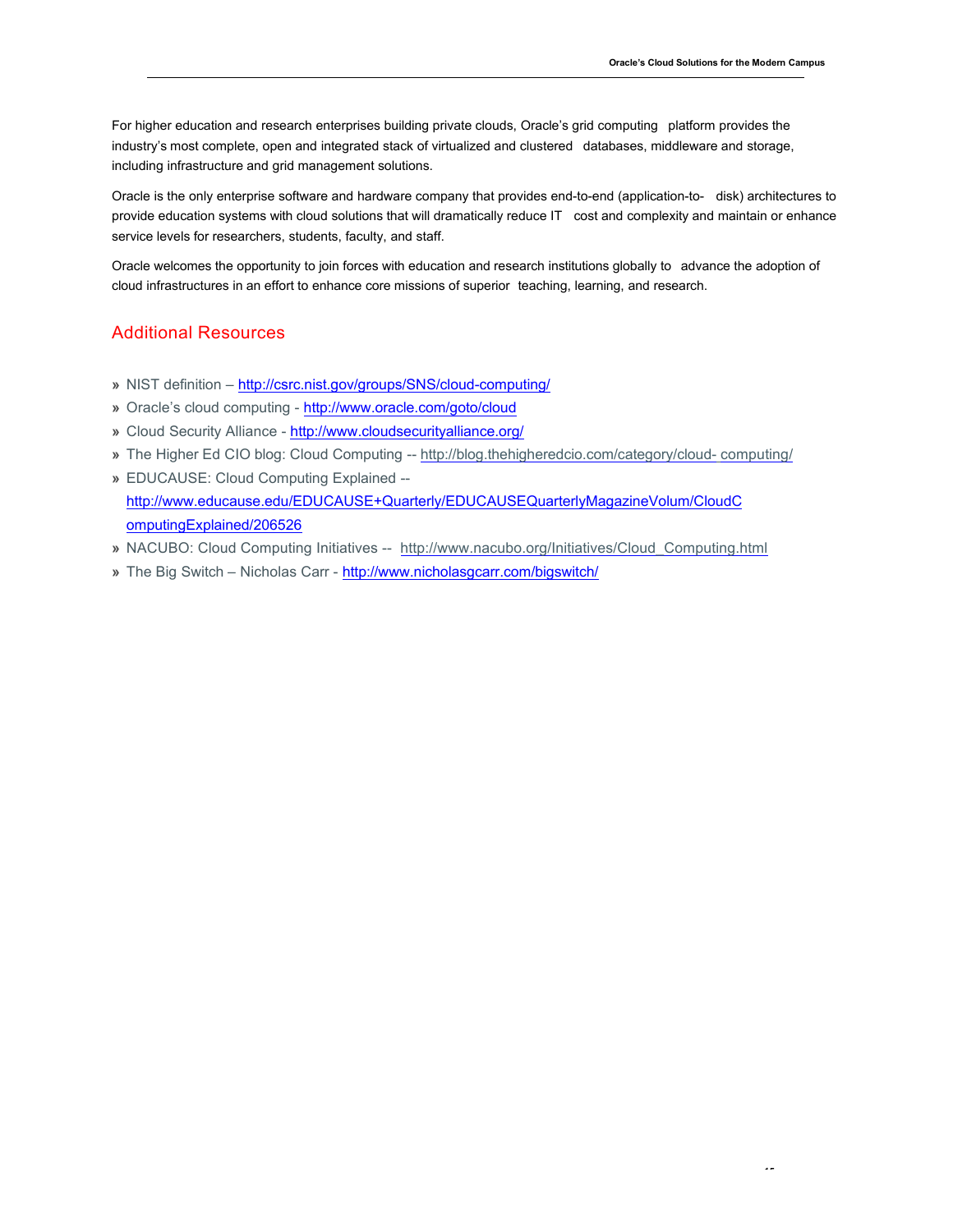For higher education and research enterprises building private clouds, Oracle's grid computing platform provides the industry's most complete, open and integrated stack of virtualized and clustered databases, middleware and storage, including infrastructure and grid management solutions.

 Oracle is the only enterprise software and hardware company that provides end-to-end (application-to- disk) architectures to provide education systems with cloud solutions that will dramatically reduce IT cost and complexity and maintain or enhance service levels for researchers, students, faculty, and staff.

 Oracle welcomes the opportunity to join forces with education and research institutions globally to advance the adoption of cloud infrastructures in an effort to enhance core missions of superior teaching, learning, and research.

# Additional Resources

- **»** NIST definition http://csrc.nist.gov/groups/SNS/cloud-computing/
- **»** Oracle's cloud computing http://www.oracle.com/goto/cloud
- **»** Cloud Security Alliance http://www.cloudsecurityalliance.org/
- **»** The Higher Ed CIO blog: Cloud Computing -- http://blog.thehigheredcio.com/category/cloud- computing/
- **»** EDUCAUSE: Cloud Computing Explained http://www.educause.edu/EDUCAUSE+Quarterly/EDUCAUSEQuarterlyMagazineVolum/CloudC<br>omputingExplained/206526
- **»** NACUBO: Cloud Computing Initiatives -- http://www.nacubo.org/Initiatives/Cloud\_Computing.html
- **»** The Big Switch Nicholas Carr http://www.nicholasgcarr.com/bigswitch/